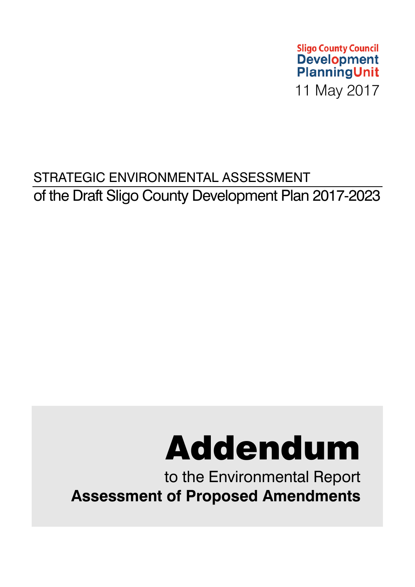

# STRATEGIC ENVIRONMENTAL ASSESSMENT of the Draft Sligo County Development Plan 2017-2023

# Addendum

to the Environmental Report **Assessment of Proposed Amendments**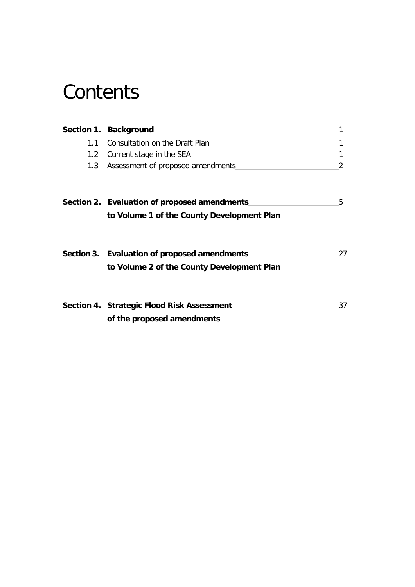# **Contents**

|     | Section 1. Background                        |                |
|-----|----------------------------------------------|----------------|
| 1.1 | Consultation on the Draft Plan               |                |
|     | 1.2 Current stage in the SEA                 |                |
|     | 1.3 Assessment of proposed amendments        | $\mathfrak{D}$ |
|     | Section 2. Evaluation of proposed amendments | 5              |
|     | to Volume 1 of the County Development Plan   |                |
|     | Section 3. Evaluation of proposed amendments | 27             |
|     | to Volume 2 of the County Development Plan   |                |
|     | Section 4. Strategic Flood Risk Assessment   | 37             |
|     | of the proposed amendments                   |                |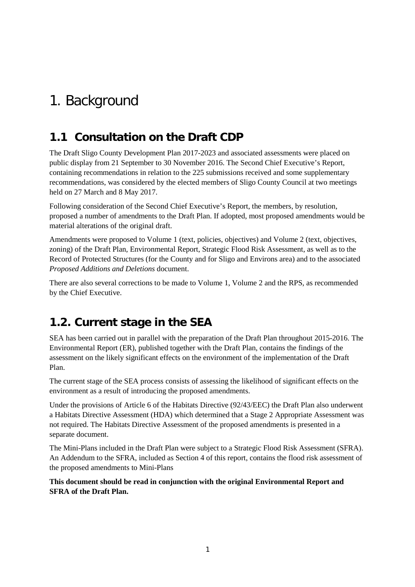# 1. Background

# **1.1 Consultation on the Draft CDP**

The Draft Sligo County Development Plan 2017-2023 and associated assessments were placed on public display from 21 September to 30 November 2016. The Second Chief Executive's Report, containing recommendations in relation to the 225 submissions received and some supplementary recommendations, was considered by the elected members of Sligo County Council at two meetings held on 27 March and 8 May 2017.

Following consideration of the Second Chief Executive's Report, the members, by resolution, proposed a number of amendments to the Draft Plan. If adopted, most proposed amendments would be material alterations of the original draft.

Amendments were proposed to Volume 1 (text, policies, objectives) and Volume 2 (text, objectives, zoning) of the Draft Plan, Environmental Report, Strategic Flood Risk Assessment, as well as to the Record of Protected Structures (for the County and for Sligo and Environs area) and to the associated *Proposed Additions and Deletions* document.

There are also several corrections to be made to Volume 1, Volume 2 and the RPS, as recommended by the Chief Executive.

# **1.2. Current stage in the SEA**

SEA has been carried out in parallel with the preparation of the Draft Plan throughout 2015-2016. The Environmental Report (ER), published together with the Draft Plan, contains the findings of the assessment on the likely significant effects on the environment of the implementation of the Draft Plan.

The current stage of the SEA process consists of assessing the likelihood of significant effects on the environment as a result of introducing the proposed amendments.

Under the provisions of Article 6 of the Habitats Directive (92/43/EEC) the Draft Plan also underwent a Habitats Directive Assessment (HDA) which determined that a Stage 2 Appropriate Assessment was not required. The Habitats Directive Assessment of the proposed amendments is presented in a separate document.

The Mini-Plans included in the Draft Plan were subject to a Strategic Flood Risk Assessment (SFRA). An Addendum to the SFRA, included as Section 4 of this report, contains the flood risk assessment of the proposed amendments to Mini-Plans

**This document should be read in conjunction with the original Environmental Report and SFRA of the Draft Plan.**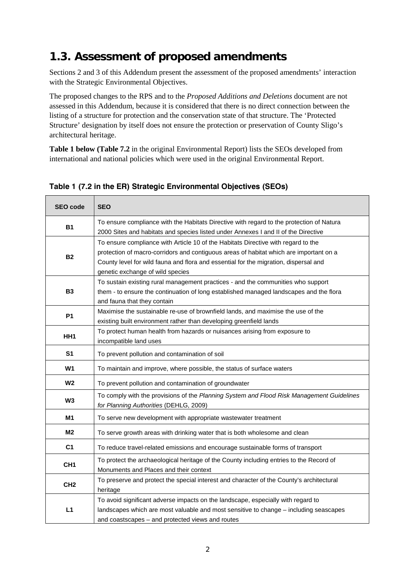# **1.3. Assessment of proposed amendments**

Sections 2 and 3 of this Addendum present the assessment of the proposed amendments' interaction with the Strategic Environmental Objectives.

The proposed changes to the RPS and to the *Proposed Additions and Deletions* document are not assessed in this Addendum, because it is considered that there is no direct connection between the listing of a structure for protection and the conservation state of that structure. The 'Protected Structure' designation by itself does not ensure the protection or preservation of County Sligo's architectural heritage.

**Table 1 below (Table 7.2** in the original Environmental Report) lists the SEOs developed from international and national policies which were used in the original Environmental Report.

| <b>SEO code</b> | <b>SEO</b>                                                                                |
|-----------------|-------------------------------------------------------------------------------------------|
| <b>B1</b>       | To ensure compliance with the Habitats Directive with regard to the protection of Natura  |
|                 | 2000 Sites and habitats and species listed under Annexes I and II of the Directive        |
|                 | To ensure compliance with Article 10 of the Habitats Directive with regard to the         |
| <b>B2</b>       | protection of macro-corridors and contiguous areas of habitat which are important on a    |
|                 | County level for wild fauna and flora and essential for the migration, dispersal and      |
|                 | genetic exchange of wild species                                                          |
|                 | To sustain existing rural management practices - and the communities who support          |
| <b>B3</b>       | them - to ensure the continuation of long established managed landscapes and the flora    |
|                 | and fauna that they contain                                                               |
| <b>P1</b>       | Maximise the sustainable re-use of brownfield lands, and maximise the use of the          |
|                 | existing built environment rather than developing greenfield lands                        |
| HH <sub>1</sub> | To protect human health from hazards or nuisances arising from exposure to                |
|                 | incompatible land uses                                                                    |
| S <sub>1</sub>  | To prevent pollution and contamination of soil                                            |
| W1              | To maintain and improve, where possible, the status of surface waters                     |
| W <sub>2</sub>  | To prevent pollution and contamination of groundwater                                     |
| W <sub>3</sub>  | To comply with the provisions of the Planning System and Flood Risk Management Guidelines |
|                 | for Planning Authorities (DEHLG, 2009)                                                    |
| M1              | To serve new development with appropriate wastewater treatment                            |
| M <sub>2</sub>  | To serve growth areas with drinking water that is both wholesome and clean                |
| C <sub>1</sub>  | To reduce travel-related emissions and encourage sustainable forms of transport           |
|                 | To protect the archaeological heritage of the County including entries to the Record of   |
| CH <sub>1</sub> | Monuments and Places and their context                                                    |
|                 | To preserve and protect the special interest and character of the County's architectural  |
| CH <sub>2</sub> | heritage                                                                                  |
|                 | To avoid significant adverse impacts on the landscape, especially with regard to          |
| L1              | landscapes which are most valuable and most sensitive to change - including seascapes     |
|                 | and coastscapes - and protected views and routes                                          |

#### **Table 1 (7.2 in the ER) Strategic Environmental Objectives (SEOs)**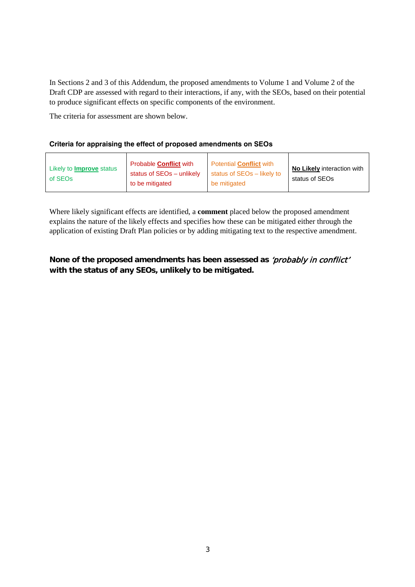In Sections 2 and 3 of this Addendum, the proposed amendments to Volume 1 and Volume 2 of the Draft CDP are assessed with regard to their interactions, if any, with the SEOs, based on their potential to produce significant effects on specific components of the environment.

The criteria for assessment are shown below.

#### **Criteria for appraising the effect of proposed amendments on SEOs**

| Likely to <b>Improve</b> status<br>of SEOs | <b>Probable Conflict with</b><br>status of SEOs - unlikely<br>to be mitigated | <b>Potential Conflict with</b><br>status of SEOs - likely to<br>be mitigated | <b>No Likely interaction with</b><br>status of SEOs |
|--------------------------------------------|-------------------------------------------------------------------------------|------------------------------------------------------------------------------|-----------------------------------------------------|
|--------------------------------------------|-------------------------------------------------------------------------------|------------------------------------------------------------------------------|-----------------------------------------------------|

Where likely significant effects are identified, a **comment** placed below the proposed amendment explains the nature of the likely effects and specifies how these can be mitigated either through the application of existing Draft Plan policies or by adding mitigating text to the respective amendment.

#### **None of the proposed amendments has been assessed as** 'probably in conflict' **with the status of any SEOs, unlikely to be mitigated.**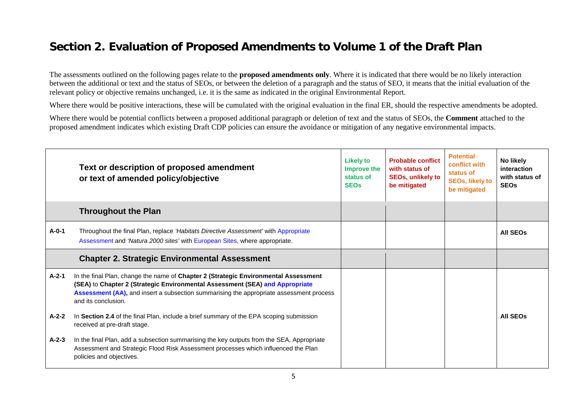## **Section 2. Evaluation of Proposed Amendments to Volume 1 of the Draft Plan**

The assessments outlined on the following pages relate to the **proposed amendments only**. Where it is indicated that there would be no likely interaction between the additional or text and the status of SEOs, or between the deletion of a paragraph and the status of SEO, it means that the initial evaluation of the relevant policy or objective remains unchanged, i.e. it is the same as indicated in the original Environmental Report.

Where there would be positive interactions, these will be cumulated with the original evaluation in the final ER, should the respective amendments be adopted.

Where there would be potential conflicts between a proposed additional paragraph or deletion of text and the status of SEOs, the **Comment** attached to the proposed amendment indicates which existing Draft CDP policies can ensure the avoidance or mitigation of any negative environmental impacts.

|             | Text or description of proposed amendment<br>or text of amended policy/objective                                                                                                                                                                                                      | <b>Likely to</b><br>Improve the<br>status of<br><b>SEO<sub>s</sub></b> | <b>Probable conflict</b><br>with status of<br><b>SEOs, unlikely to</b><br>be mitigated | <b>Potential</b><br>conflict with<br>status of<br><b>SEOs, likely to</b><br>be mitigated | No likely<br>interaction<br>with status of<br><b>SEOs</b> |
|-------------|---------------------------------------------------------------------------------------------------------------------------------------------------------------------------------------------------------------------------------------------------------------------------------------|------------------------------------------------------------------------|----------------------------------------------------------------------------------------|------------------------------------------------------------------------------------------|-----------------------------------------------------------|
|             | <b>Throughout the Plan</b>                                                                                                                                                                                                                                                            |                                                                        |                                                                                        |                                                                                          |                                                           |
| $A - 0 - 1$ | Throughout the final Plan, replace <i>'Habitats Directive Assessment'</i> with Appropriate<br>Assessment and 'Natura 2000 sites' with European Sites, where appropriate.                                                                                                              |                                                                        |                                                                                        |                                                                                          | <b>AII SEOS</b>                                           |
|             | <b>Chapter 2. Strategic Environmental Assessment</b>                                                                                                                                                                                                                                  |                                                                        |                                                                                        |                                                                                          |                                                           |
| $A - 2 - 1$ | In the final Plan, change the name of Chapter 2 (Strategic Environmental Assessment<br>(SEA) to Chapter 2 (Strategic Environmental Assessment (SEA) and Appropriate<br>Assessment (AA), and insert a subsection summarising the appropriate assessment process<br>and its conclusion. |                                                                        |                                                                                        |                                                                                          |                                                           |
| $A - 2 - 2$ | In Section 2.4 of the final Plan, include a brief summary of the EPA scoping submission<br>received at pre-draft stage.                                                                                                                                                               |                                                                        |                                                                                        |                                                                                          | <b>AII SEOS</b>                                           |
| $A - 2 - 3$ | In the final Plan, add a subsection summarising the key outputs from the SEA, Appropriate<br>Assessment and Strategic Flood Risk Assessment processes which influenced the Plan<br>policies and objectives.                                                                           |                                                                        |                                                                                        |                                                                                          |                                                           |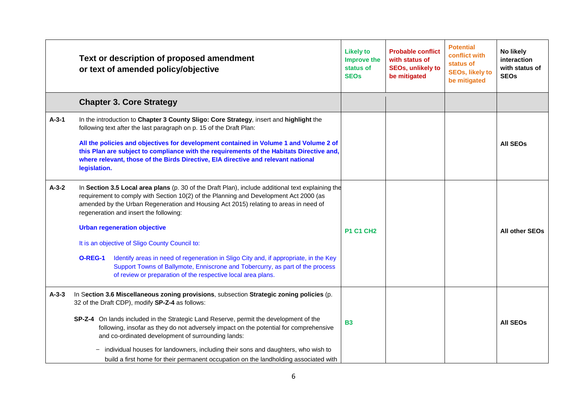|             | Text or description of proposed amendment<br>or text of amended policy/objective                                                                                                                                                                                                                                             | <b>Likely to</b><br>Improve the<br>status of<br><b>SEOs</b> | <b>Probable conflict</b><br>with status of<br><b>SEOs, unlikely to</b><br>be mitigated | <b>Potential</b><br>conflict with<br>status of<br><b>SEOs, likely to</b><br>be mitigated | No likely<br>interaction<br>with status of<br><b>SEOs</b> |
|-------------|------------------------------------------------------------------------------------------------------------------------------------------------------------------------------------------------------------------------------------------------------------------------------------------------------------------------------|-------------------------------------------------------------|----------------------------------------------------------------------------------------|------------------------------------------------------------------------------------------|-----------------------------------------------------------|
|             | <b>Chapter 3. Core Strategy</b>                                                                                                                                                                                                                                                                                              |                                                             |                                                                                        |                                                                                          |                                                           |
| $A - 3 - 1$ | In the introduction to Chapter 3 County Sligo: Core Strategy, insert and highlight the<br>following text after the last paragraph on p. 15 of the Draft Plan:                                                                                                                                                                |                                                             |                                                                                        |                                                                                          |                                                           |
|             | All the policies and objectives for development contained in Volume 1 and Volume 2 of<br>this Plan are subject to compliance with the requirements of the Habitats Directive and,<br>where relevant, those of the Birds Directive, EIA directive and relevant national<br>legislation.                                       |                                                             |                                                                                        |                                                                                          | <b>AII SEOS</b>                                           |
| $A-3-2$     | In Section 3.5 Local area plans (p. 30 of the Draft Plan), include additional text explaining the<br>requirement to comply with Section 10(2) of the Planning and Development Act 2000 (as<br>amended by the Urban Regeneration and Housing Act 2015) relating to areas in need of<br>regeneration and insert the following: |                                                             |                                                                                        |                                                                                          |                                                           |
|             | <b>Urban regeneration objective</b>                                                                                                                                                                                                                                                                                          |                                                             |                                                                                        |                                                                                          | All other SEOs                                            |
|             | It is an objective of Sligo County Council to:                                                                                                                                                                                                                                                                               |                                                             |                                                                                        |                                                                                          |                                                           |
|             | <b>O-REG-1</b><br>Identify areas in need of regeneration in Sligo City and, if appropriate, in the Key<br>Support Towns of Ballymote, Enniscrone and Tobercurry, as part of the process<br>of review or preparation of the respective local area plans.                                                                      |                                                             |                                                                                        |                                                                                          |                                                           |
| $A - 3 - 3$ | In Section 3.6 Miscellaneous zoning provisions, subsection Strategic zoning policies (p.<br>32 of the Draft CDP), modify SP-Z-4 as follows:                                                                                                                                                                                  |                                                             |                                                                                        |                                                                                          |                                                           |
|             | SP-Z-4 On lands included in the Strategic Land Reserve, permit the development of the<br>following, insofar as they do not adversely impact on the potential for comprehensive<br>and co-ordinated development of surrounding lands:                                                                                         | <b>B3</b>                                                   |                                                                                        |                                                                                          | <b>All SEOs</b>                                           |
|             | individual houses for landowners, including their sons and daughters, who wish to<br>build a first home for their permanent occupation on the landholding associated with                                                                                                                                                    |                                                             |                                                                                        |                                                                                          |                                                           |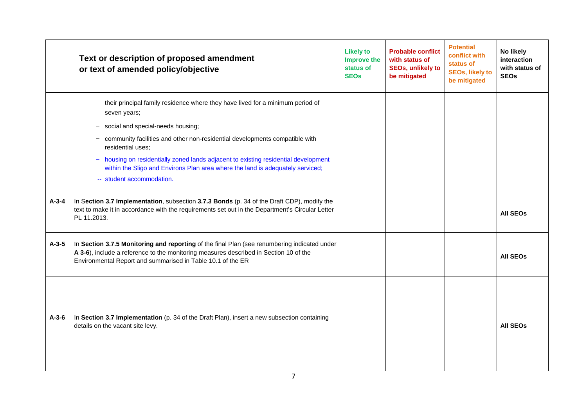|             | Text or description of proposed amendment<br>or text of amended policy/objective                                                                                                                                                                     | <b>Likely to</b><br><b>Improve the</b><br>status of<br><b>SEOs</b> | <b>Probable conflict</b><br>with status of<br><b>SEOs, unlikely to</b><br>be mitigated | <b>Potential</b><br>conflict with<br>status of<br><b>SEOs, likely to</b><br>be mitigated | No likely<br>interaction<br>with status of<br><b>SEOs</b> |
|-------------|------------------------------------------------------------------------------------------------------------------------------------------------------------------------------------------------------------------------------------------------------|--------------------------------------------------------------------|----------------------------------------------------------------------------------------|------------------------------------------------------------------------------------------|-----------------------------------------------------------|
|             | their principal family residence where they have lived for a minimum period of<br>seven years;                                                                                                                                                       |                                                                    |                                                                                        |                                                                                          |                                                           |
|             | social and special-needs housing;                                                                                                                                                                                                                    |                                                                    |                                                                                        |                                                                                          |                                                           |
|             | community facilities and other non-residential developments compatible with<br>residential uses;                                                                                                                                                     |                                                                    |                                                                                        |                                                                                          |                                                           |
|             | housing on residentially zoned lands adjacent to existing residential development<br>$\overline{\phantom{m}}$<br>within the Sligo and Environs Plan area where the land is adequately serviced;                                                      |                                                                    |                                                                                        |                                                                                          |                                                           |
|             | -- student accommodation.                                                                                                                                                                                                                            |                                                                    |                                                                                        |                                                                                          |                                                           |
| $A - 3 - 4$ | In Section 3.7 Implementation, subsection 3.7.3 Bonds (p. 34 of the Draft CDP), modify the<br>text to make it in accordance with the requirements set out in the Department's Circular Letter<br>PL 11.2013.                                         |                                                                    |                                                                                        |                                                                                          | <b>AII SEOS</b>                                           |
| $A-3-5$     | In Section 3.7.5 Monitoring and reporting of the final Plan (see renumbering indicated under<br>A 3-6), include a reference to the monitoring measures described in Section 10 of the<br>Environmental Report and summarised in Table 10.1 of the ER |                                                                    |                                                                                        |                                                                                          | <b>AII SEOS</b>                                           |
| $A - 3 - 6$ | In Section 3.7 Implementation (p. 34 of the Draft Plan), insert a new subsection containing<br>details on the vacant site levy.                                                                                                                      |                                                                    |                                                                                        |                                                                                          | <b>AII SEOS</b>                                           |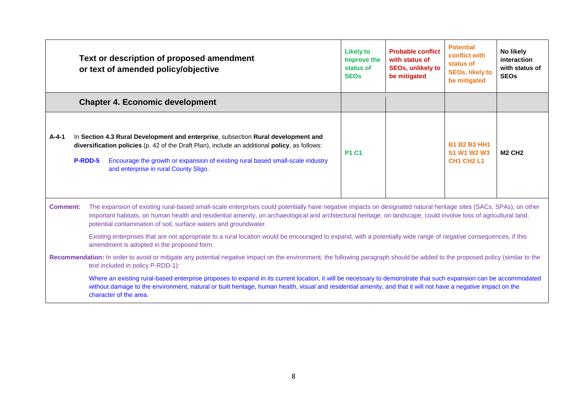|                 | Text or description of proposed amendment<br>or text of amended policy/objective                                                                                                                                                                                                                                                                                                                           | <b>Likely to</b><br>Improve the<br>status of<br><b>SEOs</b> | <b>Probable conflict</b><br>with status of<br><b>SEOs, unlikely to</b><br>be mitigated | <b>Potential</b><br>conflict with<br>status of<br><b>SEOs, likely to</b><br>be mitigated | No likely<br>interaction<br>with status of<br><b>SEOs</b> |  |
|-----------------|------------------------------------------------------------------------------------------------------------------------------------------------------------------------------------------------------------------------------------------------------------------------------------------------------------------------------------------------------------------------------------------------------------|-------------------------------------------------------------|----------------------------------------------------------------------------------------|------------------------------------------------------------------------------------------|-----------------------------------------------------------|--|
|                 | <b>Chapter 4. Economic development</b>                                                                                                                                                                                                                                                                                                                                                                     |                                                             |                                                                                        |                                                                                          |                                                           |  |
| $A - 4 - 1$     | In Section 4.3 Rural Development and enterprise, subsection Rural development and<br>diversification policies (p. 42 of the Draft Plan), include an additional policy, as follows:<br>P-RDD-5<br>Encourage the growth or expansion of existing rural based small-scale industry<br>and enterprise in rural County Sligo.                                                                                   | <b>P1 C1</b>                                                |                                                                                        | <b>B1 B2 B3 HH1</b><br>S1 W1 W2 W3<br><b>CH1 CH2 L1</b>                                  | <b>M2 CH2</b>                                             |  |
| <b>Comment:</b> | The expansion of existing rural-based small-scale enterprises could potentially have negative impacts on designated natural heritage sites (SACs, SPAs), on other<br>important habitats, on human health and residential amenity, on archaeological and architectural heritage, on landscape, could involve loss of agricultural land,<br>potential contamination of soil, surface waters and groundwater. |                                                             |                                                                                        |                                                                                          |                                                           |  |
|                 | Existing enterprises that are not appropriate to a rural location would be encouraged to expand, with a potentially wide range of negative consequences, if this<br>amendment is adopted in the proposed form.                                                                                                                                                                                             |                                                             |                                                                                        |                                                                                          |                                                           |  |
|                 | Recommendation: In order to avoid or mitigate any potential negative impact on the environment, the following paragraph should be added to the proposed policy (similar to the<br>text included in policy P-RDD-1):                                                                                                                                                                                        |                                                             |                                                                                        |                                                                                          |                                                           |  |
|                 | Where an existing rural-based enterprise proposes to expand in its current location, it will be necessary to demonstrate that such expansion can be accommodated<br>without damage to the environment, natural or built heritage, human health, visual and residential amenity, and that it will not have a negative impact on the<br>character of the area.                                               |                                                             |                                                                                        |                                                                                          |                                                           |  |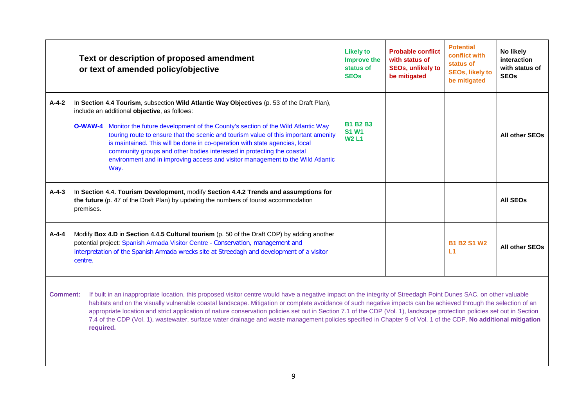|                 |                                                                                                                                                                                                                                                                                         | Text or description of proposed amendment<br>or text of amended policy/objective                                                                                                                                                                                                                                                                                                                                                                                                                                                                                                                                                                                                     | <b>Likely to</b><br>Improve the<br>status of<br><b>SEOs</b> | <b>Probable conflict</b><br>with status of<br><b>SEOs, unlikely to</b><br>be mitigated | <b>Potential</b><br>conflict with<br>status of<br><b>SEOs, likely to</b><br>be mitigated | No likely<br>interaction<br>with status of<br><b>SEOs</b> |
|-----------------|-----------------------------------------------------------------------------------------------------------------------------------------------------------------------------------------------------------------------------------------------------------------------------------------|--------------------------------------------------------------------------------------------------------------------------------------------------------------------------------------------------------------------------------------------------------------------------------------------------------------------------------------------------------------------------------------------------------------------------------------------------------------------------------------------------------------------------------------------------------------------------------------------------------------------------------------------------------------------------------------|-------------------------------------------------------------|----------------------------------------------------------------------------------------|------------------------------------------------------------------------------------------|-----------------------------------------------------------|
| $A - 4 - 2$     |                                                                                                                                                                                                                                                                                         | In Section 4.4 Tourism, subsection Wild Atlantic Way Objectives (p. 53 of the Draft Plan),<br>include an additional objective, as follows:<br><b>O-WAW-4</b> Monitor the future development of the County's section of the Wild Atlantic Way<br>touring route to ensure that the scenic and tourism value of this important amenity<br>is maintained. This will be done in co-operation with state agencies, local<br>community groups and other bodies interested in protecting the coastal<br>environment and in improving access and visitor management to the Wild Atlantic<br>Way.                                                                                              | <b>B1 B2 B3</b><br><b>S1 W1</b><br><b>W2L1</b>              |                                                                                        |                                                                                          | All other SEOs                                            |
| $A - 4 - 3$     | premises.                                                                                                                                                                                                                                                                               | In Section 4.4. Tourism Development, modify Section 4.4.2 Trends and assumptions for<br>the future (p. 47 of the Draft Plan) by updating the numbers of tourist accommodation                                                                                                                                                                                                                                                                                                                                                                                                                                                                                                        |                                                             |                                                                                        |                                                                                          | <b>All SEOs</b>                                           |
| $A - 4 - 4$     | Modify Box 4.D in Section 4.4.5 Cultural tourism (p. 50 of the Draft CDP) by adding another<br>potential project: Spanish Armada Visitor Centre - Conservation, management and<br>interpretation of the Spanish Armada wrecks site at Streedagh and development of a visitor<br>centre. |                                                                                                                                                                                                                                                                                                                                                                                                                                                                                                                                                                                                                                                                                      |                                                             |                                                                                        | <b>B1 B2 S1 W2</b><br>L1                                                                 | All other SEOs                                            |
| <b>Comment:</b> | required.                                                                                                                                                                                                                                                                               | If built in an inappropriate location, this proposed visitor centre would have a negative impact on the integrity of Streedagh Point Dunes SAC, on other valuable<br>habitats and on the visually vulnerable coastal landscape. Mitigation or complete avoidance of such negative impacts can be achieved through the selection of an<br>appropriate location and strict application of nature conservation policies set out in Section 7.1 of the CDP (Vol. 1), landscape protection policies set out in Section<br>7.4 of the CDP (Vol. 1), wastewater, surface water drainage and waste management policies specified in Chapter 9 of Vol. 1 of the CDP. No additional mitigation |                                                             |                                                                                        |                                                                                          |                                                           |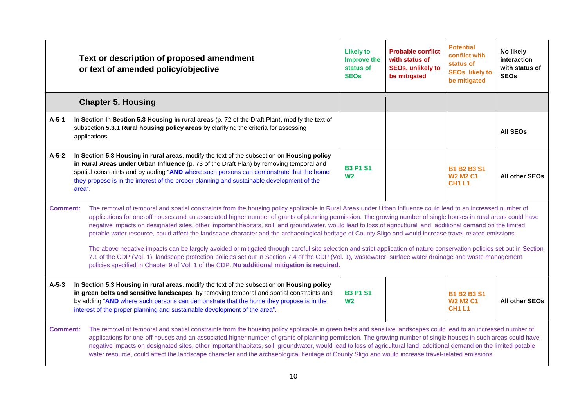|                 | Text or description of proposed amendment<br>or text of amended policy/objective                                                                                                                                                                                                                                                                                                                                                                                                                                                                                                                                                                                                                                                                                                                                                                                                                                                                                                                                                                                                                         | <b>Likely to</b><br>Improve the<br>status of<br><b>SEOs</b> | <b>Probable conflict</b><br>with status of<br><b>SEOs, unlikely to</b><br>be mitigated | <b>Potential</b><br>conflict with<br>status of<br><b>SEOs, likely to</b><br>be mitigated | No likely<br>interaction<br>with status of<br><b>SEOs</b> |
|-----------------|----------------------------------------------------------------------------------------------------------------------------------------------------------------------------------------------------------------------------------------------------------------------------------------------------------------------------------------------------------------------------------------------------------------------------------------------------------------------------------------------------------------------------------------------------------------------------------------------------------------------------------------------------------------------------------------------------------------------------------------------------------------------------------------------------------------------------------------------------------------------------------------------------------------------------------------------------------------------------------------------------------------------------------------------------------------------------------------------------------|-------------------------------------------------------------|----------------------------------------------------------------------------------------|------------------------------------------------------------------------------------------|-----------------------------------------------------------|
|                 | <b>Chapter 5. Housing</b>                                                                                                                                                                                                                                                                                                                                                                                                                                                                                                                                                                                                                                                                                                                                                                                                                                                                                                                                                                                                                                                                                |                                                             |                                                                                        |                                                                                          |                                                           |
| $A-5-1$         | In Section In Section 5.3 Housing in rural areas (p. 72 of the Draft Plan), modify the text of<br>subsection 5.3.1 Rural housing policy areas by clarifying the criteria for assessing<br>applications.                                                                                                                                                                                                                                                                                                                                                                                                                                                                                                                                                                                                                                                                                                                                                                                                                                                                                                  |                                                             |                                                                                        |                                                                                          | <b>AII SEOS</b>                                           |
| $A-5-2$         | In Section 5.3 Housing in rural areas, modify the text of the subsection on Housing policy<br>in Rural Areas under Urban Influence (p. 73 of the Draft Plan) by removing temporal and<br>spatial constraints and by adding "AND where such persons can demonstrate that the home<br>they propose is in the interest of the proper planning and sustainable development of the<br>area".                                                                                                                                                                                                                                                                                                                                                                                                                                                                                                                                                                                                                                                                                                                  | <b>B3 P1 S1</b><br>W <sub>2</sub>                           |                                                                                        | <b>B1 B2 B3 S1</b><br><b>W2 M2 C1</b><br><b>CH1 L1</b>                                   | <b>All other SEOs</b>                                     |
| <b>Comment:</b> | The removal of temporal and spatial constraints from the housing policy applicable in Rural Areas under Urban Influence could lead to an increased number of<br>applications for one-off houses and an associated higher number of grants of planning permission. The growing number of single houses in rural areas could have<br>negative impacts on designated sites, other important habitats, soil, and groundwater, would lead to loss of agricultural land, additional demand on the limited<br>potable water resource, could affect the landscape character and the archaeological heritage of County Sligo and would increase travel-related emissions.<br>The above negative impacts can be largely avoided or mitigated through careful site selection and strict application of nature conservation policies set out in Section<br>7.1 of the CDP (Vol. 1), landscape protection policies set out in Section 7.4 of the CDP (Vol. 1), wastewater, surface water drainage and waste management<br>policies specified in Chapter 9 of Vol. 1 of the CDP. No additional mitigation is required. |                                                             |                                                                                        |                                                                                          |                                                           |
| $A-5-3$         | In Section 5.3 Housing in rural areas, modify the text of the subsection on Housing policy<br>in green belts and sensitive landscapes by removing temporal and spatial constraints and<br>by adding "AND where such persons can demonstrate that the home they propose is in the<br>interest of the proper planning and sustainable development of the area".                                                                                                                                                                                                                                                                                                                                                                                                                                                                                                                                                                                                                                                                                                                                            | <b>B3 P1 S1</b><br>W <sub>2</sub>                           |                                                                                        | <b>B1 B2 B3 S1</b><br><b>W2 M2 C1</b><br><b>CH1 L1</b>                                   | <b>All other SEOs</b>                                     |
| <b>Comment:</b> | The removal of temporal and spatial constraints from the housing policy applicable in green belts and sensitive landscapes could lead to an increased number of<br>applications for one-off houses and an associated higher number of grants of planning permission. The growing number of single houses in such areas could have<br>negative impacts on designated sites, other important habitats, soil, groundwater, would lead to loss of agricultural land, additional demand on the limited potable<br>water resource, could affect the landscape character and the archaeological heritage of County Sligo and would increase travel-related emissions.                                                                                                                                                                                                                                                                                                                                                                                                                                           |                                                             |                                                                                        |                                                                                          |                                                           |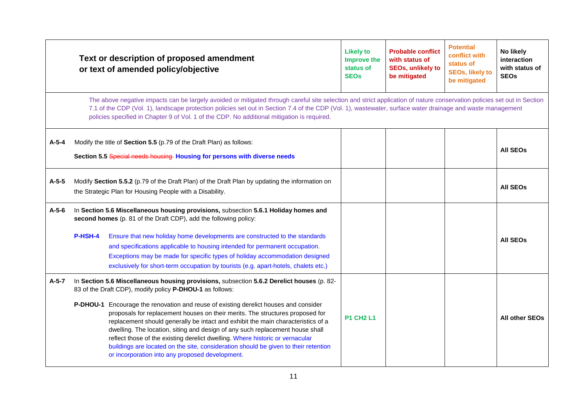|         |         | Text or description of proposed amendment<br>or text of amended policy/objective                                                                                                                                                                                                                                                                                                                                                                                                                                                                                      | <b>Likely to</b><br><b>Improve the</b><br>status of<br><b>SEOs</b> | <b>Probable conflict</b><br>with status of<br><b>SEOs, unlikely to</b><br>be mitigated | <b>Potential</b><br>conflict with<br>status of<br><b>SEOs, likely to</b><br>be mitigated | No likely<br>interaction<br>with status of<br><b>SEOs</b> |
|---------|---------|-----------------------------------------------------------------------------------------------------------------------------------------------------------------------------------------------------------------------------------------------------------------------------------------------------------------------------------------------------------------------------------------------------------------------------------------------------------------------------------------------------------------------------------------------------------------------|--------------------------------------------------------------------|----------------------------------------------------------------------------------------|------------------------------------------------------------------------------------------|-----------------------------------------------------------|
|         |         | The above negative impacts can be largely avoided or mitigated through careful site selection and strict application of nature conservation policies set out in Section<br>7.1 of the CDP (Vol. 1), landscape protection policies set out in Section 7.4 of the CDP (Vol. 1), wastewater, surface water drainage and waste management<br>policies specified in Chapter 9 of Vol. 1 of the CDP. No additional mitigation is required.                                                                                                                                  |                                                                    |                                                                                        |                                                                                          |                                                           |
| $A-5-4$ |         | Modify the title of Section 5.5 (p.79 of the Draft Plan) as follows:<br>Section 5.5 Special needs housing Housing for persons with diverse needs                                                                                                                                                                                                                                                                                                                                                                                                                      |                                                                    |                                                                                        |                                                                                          | <b>All SEOs</b>                                           |
| $A-5-5$ |         | Modify Section 5.5.2 (p.79 of the Draft Plan) of the Draft Plan by updating the information on<br>the Strategic Plan for Housing People with a Disability.                                                                                                                                                                                                                                                                                                                                                                                                            |                                                                    |                                                                                        |                                                                                          | <b>AII SEOS</b>                                           |
| $A-5-6$ |         | In Section 5.6 Miscellaneous housing provisions, subsection 5.6.1 Holiday homes and<br>second homes (p. 81 of the Draft CDP), add the following policy:                                                                                                                                                                                                                                                                                                                                                                                                               |                                                                    |                                                                                        |                                                                                          |                                                           |
|         | P-HSH-4 | Ensure that new holiday home developments are constructed to the standards<br>and specifications applicable to housing intended for permanent occupation.<br>Exceptions may be made for specific types of holiday accommodation designed<br>exclusively for short-term occupation by tourists (e.g. apart-hotels, chalets etc.)                                                                                                                                                                                                                                       |                                                                    |                                                                                        |                                                                                          | <b>AII SEOS</b>                                           |
| $A-5-7$ |         | In Section 5.6 Miscellaneous housing provisions, subsection 5.6.2 Derelict houses (p. 82-<br>83 of the Draft CDP), modify policy P-DHOU-1 as follows:                                                                                                                                                                                                                                                                                                                                                                                                                 |                                                                    |                                                                                        |                                                                                          |                                                           |
|         |         | P-DHOU-1 Encourage the renovation and reuse of existing derelict houses and consider<br>proposals for replacement houses on their merits. The structures proposed for<br>replacement should generally be intact and exhibit the main characteristics of a<br>dwelling. The location, siting and design of any such replacement house shall<br>reflect those of the existing derelict dwelling. Where historic or vernacular<br>buildings are located on the site, consideration should be given to their retention<br>or incorporation into any proposed development. | <b>P1 CH2 L1</b>                                                   |                                                                                        |                                                                                          | <b>All other SEOs</b>                                     |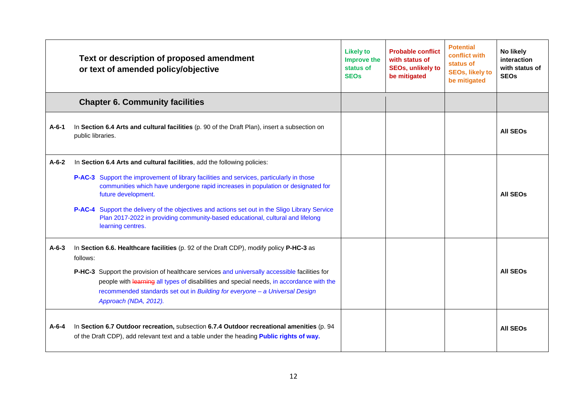|             | Text or description of proposed amendment<br>or text of amended policy/objective                                                                                                                                                                                                                                                                                                                                                                                                                       | <b>Likely to</b><br>Improve the<br>status of<br><b>SEOs</b> | <b>Probable conflict</b><br>with status of<br><b>SEOs, unlikely to</b><br>be mitigated | <b>Potential</b><br>conflict with<br>status of<br><b>SEOs, likely to</b><br>be mitigated | No likely<br>interaction<br>with status of<br><b>SEOs</b> |
|-------------|--------------------------------------------------------------------------------------------------------------------------------------------------------------------------------------------------------------------------------------------------------------------------------------------------------------------------------------------------------------------------------------------------------------------------------------------------------------------------------------------------------|-------------------------------------------------------------|----------------------------------------------------------------------------------------|------------------------------------------------------------------------------------------|-----------------------------------------------------------|
|             | <b>Chapter 6. Community facilities</b>                                                                                                                                                                                                                                                                                                                                                                                                                                                                 |                                                             |                                                                                        |                                                                                          |                                                           |
| $A - 6 - 1$ | In Section 6.4 Arts and cultural facilities (p. 90 of the Draft Plan), insert a subsection on<br>public libraries.                                                                                                                                                                                                                                                                                                                                                                                     |                                                             |                                                                                        |                                                                                          | <b>All SEOs</b>                                           |
| $A - 6 - 2$ | In Section 6.4 Arts and cultural facilities, add the following policies:<br><b>P-AC-3</b> Support the improvement of library facilities and services, particularly in those<br>communities which have undergone rapid increases in population or designated for<br>future development.<br><b>P-AC-4</b> Support the delivery of the objectives and actions set out in the Sligo Library Service<br>Plan 2017-2022 in providing community-based educational, cultural and lifelong<br>learning centres. |                                                             |                                                                                        |                                                                                          | <b>AII SEOS</b>                                           |
| $A - 6 - 3$ | In Section 6.6. Healthcare facilities (p. 92 of the Draft CDP), modify policy P-HC-3 as<br>follows:<br>P-HC-3 Support the provision of healthcare services and universally accessible facilities for<br>people with learning all types of disabilities and special needs, in accordance with the<br>recommended standards set out in Building for everyone - a Universal Design<br>Approach (NDA, 2012).                                                                                               |                                                             |                                                                                        |                                                                                          | <b>AII SEOS</b>                                           |
| A-6-4       | In Section 6.7 Outdoor recreation, subsection 6.7.4 Outdoor recreational amenities (p. 94<br>of the Draft CDP), add relevant text and a table under the heading Public rights of way.                                                                                                                                                                                                                                                                                                                  |                                                             |                                                                                        |                                                                                          | <b>AII SEOS</b>                                           |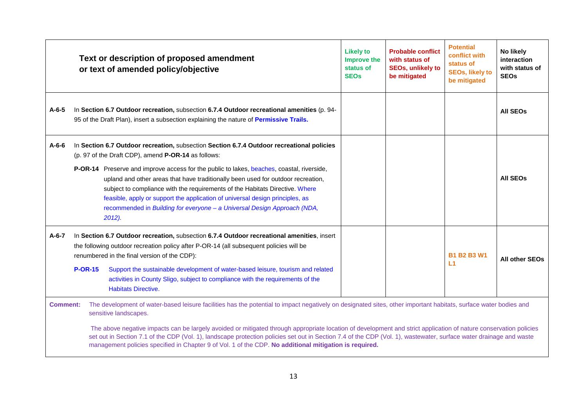|                                                                                                                                                                                                                                                                                                                                                                                                                                                   |                | Text or description of proposed amendment<br>or text of amended policy/objective                                                                                                                                                                                                                                                                                                                                                        | <b>Likely to</b><br>Improve the<br>status of<br><b>SEOs</b> | <b>Probable conflict</b><br>with status of<br><b>SEOs, unlikely to</b><br>be mitigated | <b>Potential</b><br>conflict with<br>status of<br><b>SEOs, likely to</b><br>be mitigated | No likely<br>interaction<br>with status of<br><b>SEOs</b> |
|---------------------------------------------------------------------------------------------------------------------------------------------------------------------------------------------------------------------------------------------------------------------------------------------------------------------------------------------------------------------------------------------------------------------------------------------------|----------------|-----------------------------------------------------------------------------------------------------------------------------------------------------------------------------------------------------------------------------------------------------------------------------------------------------------------------------------------------------------------------------------------------------------------------------------------|-------------------------------------------------------------|----------------------------------------------------------------------------------------|------------------------------------------------------------------------------------------|-----------------------------------------------------------|
| $A - 6 - 5$                                                                                                                                                                                                                                                                                                                                                                                                                                       |                | In Section 6.7 Outdoor recreation, subsection 6.7.4 Outdoor recreational amenities (p. 94-<br>95 of the Draft Plan), insert a subsection explaining the nature of Permissive Trails.                                                                                                                                                                                                                                                    |                                                             |                                                                                        |                                                                                          | <b>AII SEOS</b>                                           |
| $A - 6 - 6$                                                                                                                                                                                                                                                                                                                                                                                                                                       |                | In Section 6.7 Outdoor recreation, subsection Section 6.7.4 Outdoor recreational policies<br>(p. 97 of the Draft CDP), amend P-OR-14 as follows:                                                                                                                                                                                                                                                                                        |                                                             |                                                                                        |                                                                                          |                                                           |
|                                                                                                                                                                                                                                                                                                                                                                                                                                                   |                | P-OR-14 Preserve and improve access for the public to lakes, beaches, coastal, riverside,<br>upland and other areas that have traditionally been used for outdoor recreation,<br>subject to compliance with the requirements of the Habitats Directive. Where<br>feasible, apply or support the application of universal design principles, as<br>recommended in Building for everyone - a Universal Design Approach (NDA,<br>$2012$ ). |                                                             |                                                                                        |                                                                                          | <b>All SEOs</b>                                           |
| $A - 6 - 7$                                                                                                                                                                                                                                                                                                                                                                                                                                       |                | In Section 6.7 Outdoor recreation, subsection 6.7.4 Outdoor recreational amenities, insert<br>the following outdoor recreation policy after P-OR-14 (all subsequent policies will be<br>renumbered in the final version of the CDP):                                                                                                                                                                                                    |                                                             |                                                                                        | <b>B1 B2 B3 W1</b>                                                                       | All other SEOs                                            |
|                                                                                                                                                                                                                                                                                                                                                                                                                                                   | <b>P-OR-15</b> | Support the sustainable development of water-based leisure, tourism and related<br>activities in County Sligo, subject to compliance with the requirements of the<br><b>Habitats Directive.</b>                                                                                                                                                                                                                                         |                                                             |                                                                                        | L1                                                                                       |                                                           |
| <b>Comment:</b>                                                                                                                                                                                                                                                                                                                                                                                                                                   |                | The development of water-based leisure facilities has the potential to impact negatively on designated sites, other important habitats, surface water bodies and<br>sensitive landscapes.                                                                                                                                                                                                                                               |                                                             |                                                                                        |                                                                                          |                                                           |
| The above negative impacts can be largely avoided or mitigated through appropriate location of development and strict application of nature conservation policies<br>set out in Section 7.1 of the CDP (Vol. 1), landscape protection policies set out in Section 7.4 of the CDP (Vol. 1), wastewater, surface water drainage and waste<br>management policies specified in Chapter 9 of Vol. 1 of the CDP. No additional mitigation is required. |                |                                                                                                                                                                                                                                                                                                                                                                                                                                         |                                                             |                                                                                        |                                                                                          |                                                           |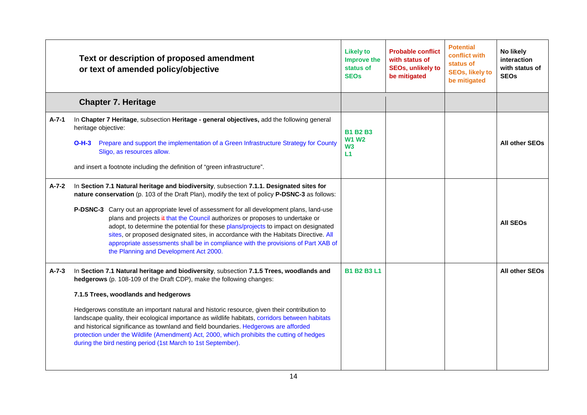|             | Text or description of proposed amendment<br>or text of amended policy/objective                                                                                                                                                                                                                                                                                                                                                                                                                                                                                                                                                                                                     | <b>Likely to</b><br>Improve the<br>status of<br><b>SEOs</b> | <b>Probable conflict</b><br>with status of<br><b>SEOs, unlikely to</b><br>be mitigated | <b>Potential</b><br>conflict with<br>status of<br><b>SEOs, likely to</b><br>be mitigated | No likely<br>interaction<br>with status of<br><b>SEOs</b> |
|-------------|--------------------------------------------------------------------------------------------------------------------------------------------------------------------------------------------------------------------------------------------------------------------------------------------------------------------------------------------------------------------------------------------------------------------------------------------------------------------------------------------------------------------------------------------------------------------------------------------------------------------------------------------------------------------------------------|-------------------------------------------------------------|----------------------------------------------------------------------------------------|------------------------------------------------------------------------------------------|-----------------------------------------------------------|
|             | <b>Chapter 7. Heritage</b>                                                                                                                                                                                                                                                                                                                                                                                                                                                                                                                                                                                                                                                           |                                                             |                                                                                        |                                                                                          |                                                           |
| $A - 7 - 1$ | In Chapter 7 Heritage, subsection Heritage - general objectives, add the following general<br>heritage objective:<br>Prepare and support the implementation of a Green Infrastructure Strategy for County<br>O-H-3<br>Sligo, as resources allow.<br>and insert a footnote including the definition of "green infrastructure".                                                                                                                                                                                                                                                                                                                                                        | <b>B1 B2 B3</b><br><b>W1 W2</b><br>W <sub>3</sub><br>L1     |                                                                                        |                                                                                          | <b>All other SEOs</b>                                     |
| $A - 7 - 2$ | In Section 7.1 Natural heritage and biodiversity, subsection 7.1.1. Designated sites for<br>nature conservation (p. 103 of the Draft Plan), modify the text of policy P-DSNC-3 as follows:<br>P-DSNC-3 Carry out an appropriate level of assessment for all development plans, land-use<br>plans and projects it that the Council authorizes or proposes to undertake or<br>adopt, to determine the potential for these plans/projects to impact on designated<br>sites, or proposed designated sites, in accordance with the Habitats Directive. All<br>appropriate assessments shall be in compliance with the provisions of Part XAB of<br>the Planning and Development Act 2000. |                                                             |                                                                                        |                                                                                          | <b>AII SEOS</b>                                           |
| $A - 7 - 3$ | In Section 7.1 Natural heritage and biodiversity, subsection 7.1.5 Trees, woodlands and<br>hedgerows (p. 108-109 of the Draft CDP), make the following changes:<br>7.1.5 Trees, woodlands and hedgerows<br>Hedgerows constitute an important natural and historic resource, given their contribution to<br>landscape quality, their ecological importance as wildlife habitats, corridors between habitats<br>and historical significance as townland and field boundaries. Hedgerows are afforded<br>protection under the Wildlife (Amendment) Act, 2000, which prohibits the cutting of hedges<br>during the bird nesting period (1st March to 1st September).                     | <b>B1 B2 B3 L1</b>                                          |                                                                                        |                                                                                          | <b>All other SEOs</b>                                     |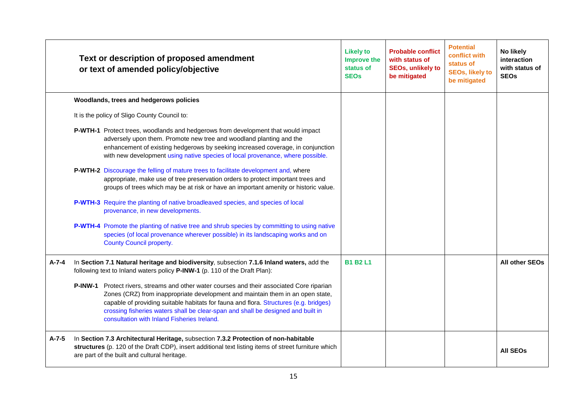|             | Text or description of proposed amendment<br>or text of amended policy/objective                                                                                                                                                                                                                                                                                                                                     | <b>Likely to</b><br><b>Improve the</b><br>status of<br><b>SEOs</b> | <b>Probable conflict</b><br>with status of<br><b>SEOs, unlikely to</b><br>be mitigated | <b>Potential</b><br>conflict with<br>status of<br><b>SEOs, likely to</b><br>be mitigated | No likely<br>interaction<br>with status of<br><b>SEOs</b> |
|-------------|----------------------------------------------------------------------------------------------------------------------------------------------------------------------------------------------------------------------------------------------------------------------------------------------------------------------------------------------------------------------------------------------------------------------|--------------------------------------------------------------------|----------------------------------------------------------------------------------------|------------------------------------------------------------------------------------------|-----------------------------------------------------------|
|             | Woodlands, trees and hedgerows policies                                                                                                                                                                                                                                                                                                                                                                              |                                                                    |                                                                                        |                                                                                          |                                                           |
|             | It is the policy of Sligo County Council to:                                                                                                                                                                                                                                                                                                                                                                         |                                                                    |                                                                                        |                                                                                          |                                                           |
|             | P-WTH-1 Protect trees, woodlands and hedgerows from development that would impact<br>adversely upon them. Promote new tree and woodland planting and the<br>enhancement of existing hedgerows by seeking increased coverage, in conjunction<br>with new development using native species of local provenance, where possible.<br>P-WTH-2 Discourage the felling of mature trees to facilitate development and, where |                                                                    |                                                                                        |                                                                                          |                                                           |
|             | appropriate, make use of tree preservation orders to protect important trees and<br>groups of trees which may be at risk or have an important amenity or historic value.                                                                                                                                                                                                                                             |                                                                    |                                                                                        |                                                                                          |                                                           |
|             | P-WTH-3 Require the planting of native broadleaved species, and species of local<br>provenance, in new developments.                                                                                                                                                                                                                                                                                                 |                                                                    |                                                                                        |                                                                                          |                                                           |
|             | <b>P-WTH-4</b> Promote the planting of native tree and shrub species by committing to using native<br>species (of local provenance wherever possible) in its landscaping works and on<br><b>County Council property.</b>                                                                                                                                                                                             |                                                                    |                                                                                        |                                                                                          |                                                           |
| A-7-4       | In Section 7.1 Natural heritage and biodiversity, subsection 7.1.6 Inland waters, add the<br>following text to Inland waters policy P-INW-1 (p. 110 of the Draft Plan):                                                                                                                                                                                                                                              | <b>B1 B2 L1</b>                                                    |                                                                                        |                                                                                          | All other SEOs                                            |
|             | P-INW-1 Protect rivers, streams and other water courses and their associated Core riparian<br>Zones (CRZ) from inappropriate development and maintain them in an open state,<br>capable of providing suitable habitats for fauna and flora. Structures (e.g. bridges)<br>crossing fisheries waters shall be clear-span and shall be designed and built in<br>consultation with Inland Fisheries Ireland.             |                                                                    |                                                                                        |                                                                                          |                                                           |
| $A - 7 - 5$ | In Section 7.3 Architectural Heritage, subsection 7.3.2 Protection of non-habitable<br>structures (p. 120 of the Draft CDP), insert additional text listing items of street furniture which<br>are part of the built and cultural heritage.                                                                                                                                                                          |                                                                    |                                                                                        |                                                                                          | <b>AII SEOS</b>                                           |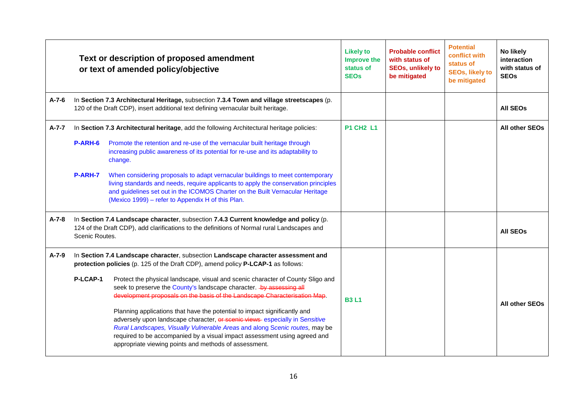|                            |                                      | Text or description of proposed amendment<br>or text of amended policy/objective                                                                                                                                                                                                                                                                                                                                                                                                                                                                                                                                                                                                                                                                                                              | <b>Likely to</b><br>Improve the<br>status of<br><b>SEOs</b> | <b>Probable conflict</b><br>with status of<br><b>SEOs, unlikely to</b><br>be mitigated | <b>Potential</b><br>conflict with<br>status of<br><b>SEOs, likely to</b><br>be mitigated | No likely<br>interaction<br>with status of<br><b>SEOs</b> |
|----------------------------|--------------------------------------|-----------------------------------------------------------------------------------------------------------------------------------------------------------------------------------------------------------------------------------------------------------------------------------------------------------------------------------------------------------------------------------------------------------------------------------------------------------------------------------------------------------------------------------------------------------------------------------------------------------------------------------------------------------------------------------------------------------------------------------------------------------------------------------------------|-------------------------------------------------------------|----------------------------------------------------------------------------------------|------------------------------------------------------------------------------------------|-----------------------------------------------------------|
| $A - 7 - 6$                |                                      | In Section 7.3 Architectural Heritage, subsection 7.3.4 Town and village streetscapes (p.<br>120 of the Draft CDP), insert additional text defining vernacular built heritage.                                                                                                                                                                                                                                                                                                                                                                                                                                                                                                                                                                                                                |                                                             |                                                                                        |                                                                                          | <b>AII SEOS</b>                                           |
| $A - 7 - 7$<br>$A - 7 - 8$ | P-ARH-6<br>P-ARH-7<br>Scenic Routes. | In Section 7.3 Architectural heritage, add the following Architectural heritage policies:<br>Promote the retention and re-use of the vernacular built heritage through<br>increasing public awareness of its potential for re-use and its adaptability to<br>change.<br>When considering proposals to adapt vernacular buildings to meet contemporary<br>living standards and needs, require applicants to apply the conservation principles<br>and guidelines set out in the ICOMOS Charter on the Built Vernacular Heritage<br>(Mexico 1999) – refer to Appendix H of this Plan.<br>In Section 7.4 Landscape character, subsection 7.4.3 Current knowledge and policy (p.<br>124 of the Draft CDP), add clarifications to the definitions of Normal rural Landscapes and                    | <b>P1 CH2 L1</b>                                            |                                                                                        |                                                                                          | All other SEOs<br><b>AII SEOS</b>                         |
| $A - 7 - 9$                | P-LCAP-1                             | In Section 7.4 Landscape character, subsection Landscape character assessment and<br>protection policies (p. 125 of the Draft CDP), amend policy P-LCAP-1 as follows:<br>Protect the physical landscape, visual and scenic character of County Sligo and<br>seek to preserve the County's landscape character. by assessing all<br>development proposals on the basis of the Landscape Characterisation Map.<br>Planning applications that have the potential to impact significantly and<br>adversely upon landscape character, or scenic views-especially in Sensitive<br>Rural Landscapes, Visually Vulnerable Areas and along Scenic routes, may be<br>required to be accompanied by a visual impact assessment using agreed and<br>appropriate viewing points and methods of assessment. | <b>B3L1</b>                                                 |                                                                                        |                                                                                          | All other SEOs                                            |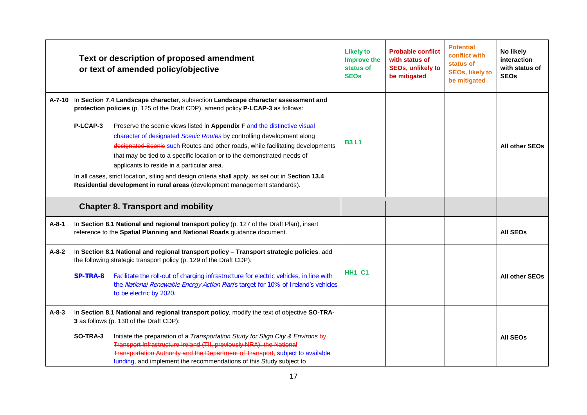|             |                 | Text or description of proposed amendment<br>or text of amended policy/objective                                                                                                                                                                                                                                                                                                                                                                                                                                                                                                                                                                                                                                                  | <b>Likely to</b><br><b>Improve the</b><br>status of<br><b>SEOs</b> | <b>Probable conflict</b><br>with status of<br><b>SEOs, unlikely to</b><br>be mitigated | <b>Potential</b><br>conflict with<br>status of<br><b>SEOs, likely to</b><br>be mitigated | No likely<br>interaction<br>with status of<br><b>SEOs</b> |
|-------------|-----------------|-----------------------------------------------------------------------------------------------------------------------------------------------------------------------------------------------------------------------------------------------------------------------------------------------------------------------------------------------------------------------------------------------------------------------------------------------------------------------------------------------------------------------------------------------------------------------------------------------------------------------------------------------------------------------------------------------------------------------------------|--------------------------------------------------------------------|----------------------------------------------------------------------------------------|------------------------------------------------------------------------------------------|-----------------------------------------------------------|
|             | P-LCAP-3        | A-7-10 In Section 7.4 Landscape character, subsection Landscape character assessment and<br>protection policies (p. 125 of the Draft CDP), amend policy P-LCAP-3 as follows:<br>Preserve the scenic views listed in Appendix F and the distinctive visual<br>character of designated Scenic Routes by controlling development along<br>designated Scenic such Routes and other roads, while facilitating developments<br>that may be tied to a specific location or to the demonstrated needs of<br>applicants to reside in a particular area.<br>In all cases, strict location, siting and design criteria shall apply, as set out in Section 13.4<br>Residential development in rural areas (development management standards). | <b>B3L1</b>                                                        |                                                                                        |                                                                                          | <b>All other SEOs</b>                                     |
|             |                 | <b>Chapter 8. Transport and mobility</b>                                                                                                                                                                                                                                                                                                                                                                                                                                                                                                                                                                                                                                                                                          |                                                                    |                                                                                        |                                                                                          |                                                           |
| $A-8-1$     |                 | In Section 8.1 National and regional transport policy (p. 127 of the Draft Plan), insert<br>reference to the Spatial Planning and National Roads guidance document.                                                                                                                                                                                                                                                                                                                                                                                                                                                                                                                                                               |                                                                    |                                                                                        |                                                                                          | <b>All SEOs</b>                                           |
| $A - 8 - 2$ | <b>SP-TRA-8</b> | In Section 8.1 National and regional transport policy - Transport strategic policies, add<br>the following strategic transport policy (p. 129 of the Draft CDP):<br>Facilitate the roll-out of charging infrastructure for electric vehicles, in line with<br>the National Renewable Energy Action Plan's target for 10% of Ireland's vehicles<br>to be electric by 2020.                                                                                                                                                                                                                                                                                                                                                         | <b>HH1 C1</b>                                                      |                                                                                        |                                                                                          | All other SEOs                                            |
| $A - 8 - 3$ | SO-TRA-3        | In Section 8.1 National and regional transport policy, modify the text of objective SO-TRA-<br>3 as follows (p. 130 of the Draft CDP):<br>Initiate the preparation of a Transportation Study for Sligo City & Environs by<br>Transport Infrastructure Ireland (TII, previously NRA), the National<br>Transportation Authority and the Department of Transport, subject to available<br>funding, and implement the recommendations of this Study subject to                                                                                                                                                                                                                                                                        |                                                                    |                                                                                        |                                                                                          | <b>All SEOs</b>                                           |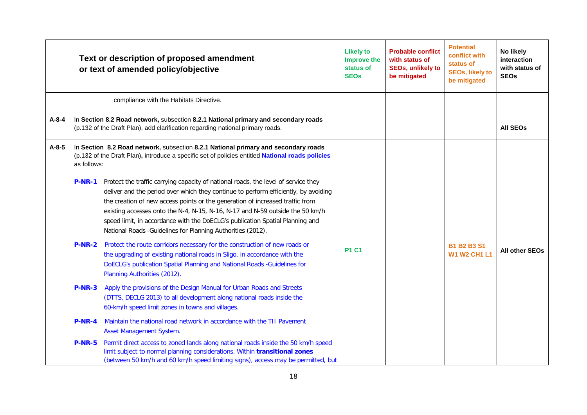|             |               | Text or description of proposed amendment<br>or text of amended policy/objective                                                                                                                                                                                                                                                                                                                                                                                                             | <b>Likely to</b><br>Improve the<br>status of<br><b>SEOs</b> | <b>Probable conflict</b><br>with status of<br><b>SEOs, unlikely to</b><br>be mitigated | <b>Potential</b><br>conflict with<br>status of<br><b>SEOs, likely to</b><br>be mitigated | No likely<br>interaction<br>with status of<br><b>SEOs</b> |
|-------------|---------------|----------------------------------------------------------------------------------------------------------------------------------------------------------------------------------------------------------------------------------------------------------------------------------------------------------------------------------------------------------------------------------------------------------------------------------------------------------------------------------------------|-------------------------------------------------------------|----------------------------------------------------------------------------------------|------------------------------------------------------------------------------------------|-----------------------------------------------------------|
|             |               | compliance with the Habitats Directive.                                                                                                                                                                                                                                                                                                                                                                                                                                                      |                                                             |                                                                                        |                                                                                          |                                                           |
| $A - 8 - 4$ |               | In Section 8.2 Road network, subsection 8.2.1 National primary and secondary roads<br>(p.132 of the Draft Plan), add clarification regarding national primary roads.                                                                                                                                                                                                                                                                                                                         |                                                             |                                                                                        |                                                                                          | <b>AII SEOS</b>                                           |
| $A-8-5$     | as follows:   | In Section 8.2 Road network, subsection 8.2.1 National primary and secondary roads<br>(p.132 of the Draft Plan), introduce a specific set of policies entitled <b>National roads policies</b>                                                                                                                                                                                                                                                                                                |                                                             |                                                                                        |                                                                                          |                                                           |
|             | <b>P-NR-1</b> | Protect the traffic carrying capacity of national roads, the level of service they<br>deliver and the period over which they continue to perform efficiently, by avoiding<br>the creation of new access points or the generation of increased traffic from<br>existing accesses onto the N-4, N-15, N-16, N-17 and N-59 outside the 50 km/h<br>speed limit, in accordance with the DoECLG's publication Spatial Planning and<br>National Roads - Guidelines for Planning Authorities (2012). |                                                             |                                                                                        |                                                                                          |                                                           |
|             | <b>P-NR-2</b> | Protect the route corridors necessary for the construction of new roads or<br>the upgrading of existing national roads in Sligo, in accordance with the<br>DoECLG's publication Spatial Planning and National Roads -Guidelines for<br>Planning Authorities (2012).                                                                                                                                                                                                                          | <b>P1 C1</b>                                                |                                                                                        | <b>B1 B2 B3 S1</b><br><b>W1 W2 CH1 L1</b>                                                | <b>All other SEOs</b>                                     |
|             | $P-NR-3$      | Apply the provisions of the Design Manual for Urban Roads and Streets<br>(DTTS, DECLG 2013) to all development along national roads inside the<br>60-km/h speed limit zones in towns and villages.                                                                                                                                                                                                                                                                                           |                                                             |                                                                                        |                                                                                          |                                                           |
|             | <b>P-NR-4</b> | Maintain the national road network in accordance with the TII Pavement<br><b>Asset Management System.</b>                                                                                                                                                                                                                                                                                                                                                                                    |                                                             |                                                                                        |                                                                                          |                                                           |
|             | <b>P-NR-5</b> | Permit direct access to zoned lands along national roads inside the 50 km/h speed<br>limit subject to normal planning considerations. Within transitional zones<br>(between 50 km/h and 60 km/h speed limiting signs), access may be permitted, but                                                                                                                                                                                                                                          |                                                             |                                                                                        |                                                                                          |                                                           |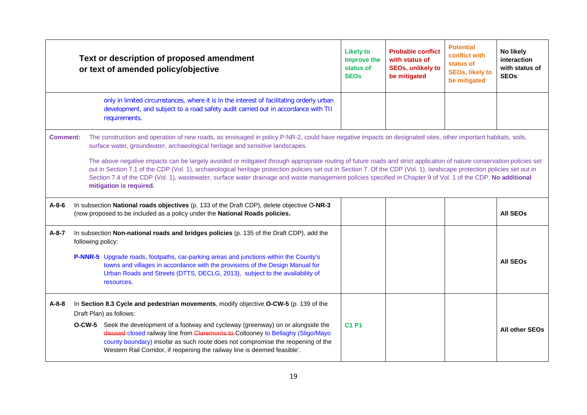|                 |                   | Text or description of proposed amendment<br>or text of amended policy/objective                                                                                                                                                                                                                                                                                                                                                                                                                                                                                                                                                                                                                                                                                                              | <b>Likely to</b><br>Improve the<br>status of<br><b>SEOs</b> | <b>Probable conflict</b><br>with status of<br><b>SEOs, unlikely to</b><br>be mitigated | <b>Potential</b><br>conflict with<br>status of<br><b>SEOs, likely to</b><br>be mitigated | No likely<br>interaction<br>with status of<br><b>SEOs</b> |
|-----------------|-------------------|-----------------------------------------------------------------------------------------------------------------------------------------------------------------------------------------------------------------------------------------------------------------------------------------------------------------------------------------------------------------------------------------------------------------------------------------------------------------------------------------------------------------------------------------------------------------------------------------------------------------------------------------------------------------------------------------------------------------------------------------------------------------------------------------------|-------------------------------------------------------------|----------------------------------------------------------------------------------------|------------------------------------------------------------------------------------------|-----------------------------------------------------------|
|                 |                   | only in limited circumstances, where it is in the interest of facilitating orderly urban<br>development, and subject to a road safety audit carried out in accordance with TII<br>requirements.                                                                                                                                                                                                                                                                                                                                                                                                                                                                                                                                                                                               |                                                             |                                                                                        |                                                                                          |                                                           |
| <b>Comment:</b> |                   | The construction and operation of new roads, as envisaged in policy P-NR-2, could have negative impacts on designated sites, other important habitats, soils,<br>surface water, groundwater, archaeological heritage and sensitive landscapes.<br>The above negative impacts can be largely avoided or mitigated through appropriate routing of future roads and strict application of nature conservation policies set<br>out in Section 7.1 of the CDP (Vol. 1), archaeological heritage protection policies set out in Section 7. Of the CDP (Vol. 1), landscape protection policies set out in<br>Section 7.4 of the CDP (Vol. 1), wastewater, surface water drainage and waste management policies specified in Chapter 9 of Vol. 1 of the CDP. No additional<br>mitigation is required. |                                                             |                                                                                        |                                                                                          |                                                           |
| $A - 8 - 6$     |                   | In subsection National roads objectives (p. 133 of the Draft CDP), delete objective O-NR-3<br>(now proposed to be included as a policy under the National Roads policies.                                                                                                                                                                                                                                                                                                                                                                                                                                                                                                                                                                                                                     |                                                             |                                                                                        |                                                                                          | <b>AII SEOS</b>                                           |
| A-8-7           | following policy: | In subsection Non-national roads and bridges policies (p. 135 of the Draft CDP), add the<br>P-NNR-5 Upgrade roads, footpaths, car-parking areas and junctions within the County's<br>towns and villages in accordance with the provisions of the Design Manual for<br>Urban Roads and Streets (DTTS, DECLG, 2013), subject to the availability of<br>resources.                                                                                                                                                                                                                                                                                                                                                                                                                               |                                                             |                                                                                        |                                                                                          | <b>AII SEOS</b>                                           |
| $A-8-8$         |                   | In Section 8.3 Cycle and pedestrian movements, modify objective O-CW-5 (p. 139 of the<br>Draft Plan) as follows:<br><b>O-CW-5</b> Seek the development of a footway and cycleway (greenway) on or alongside the<br>disused closed railway line from Claremorris to-Collooney to Bellaghy (Sligo/Mayo<br>county boundary) insofar as such route does not compromise the reopening of the<br>Western Rail Corridor, if reopening the railway line is deemed feasible'.                                                                                                                                                                                                                                                                                                                          | <b>C1 P1</b>                                                |                                                                                        |                                                                                          | All other SEOs                                            |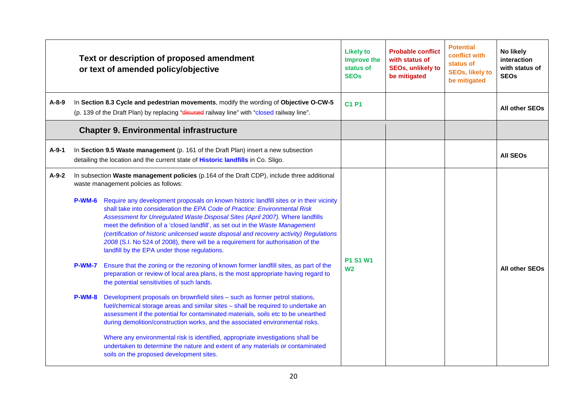|             |                                | Text or description of proposed amendment<br>or text of amended policy/objective                                                                                                                                                                                                                                                                                                                                                                                                                                                                                                                                                                                                                                                                                                                                                                                                                                                                                                                                                                                                                                                                                                                                                                                                                                                                                                                                                                                                                               | <b>Likely to</b><br>Improve the<br>status of<br><b>SEO<sub>s</sub></b> | <b>Probable conflict</b><br>with status of<br><b>SEOs, unlikely to</b><br>be mitigated | <b>Potential</b><br>conflict with<br>status of<br><b>SEOs, likely to</b><br>be mitigated | No likely<br>interaction<br>with status of<br><b>SEOs</b> |
|-------------|--------------------------------|----------------------------------------------------------------------------------------------------------------------------------------------------------------------------------------------------------------------------------------------------------------------------------------------------------------------------------------------------------------------------------------------------------------------------------------------------------------------------------------------------------------------------------------------------------------------------------------------------------------------------------------------------------------------------------------------------------------------------------------------------------------------------------------------------------------------------------------------------------------------------------------------------------------------------------------------------------------------------------------------------------------------------------------------------------------------------------------------------------------------------------------------------------------------------------------------------------------------------------------------------------------------------------------------------------------------------------------------------------------------------------------------------------------------------------------------------------------------------------------------------------------|------------------------------------------------------------------------|----------------------------------------------------------------------------------------|------------------------------------------------------------------------------------------|-----------------------------------------------------------|
| $A - 8 - 9$ |                                | In Section 8.3 Cycle and pedestrian movements, modify the wording of Objective O-CW-5<br>(p. 139 of the Draft Plan) by replacing "disused railway line" with "closed railway line".                                                                                                                                                                                                                                                                                                                                                                                                                                                                                                                                                                                                                                                                                                                                                                                                                                                                                                                                                                                                                                                                                                                                                                                                                                                                                                                            | <b>C1 P1</b>                                                           |                                                                                        |                                                                                          | All other SEOs                                            |
|             |                                | <b>Chapter 9. Environmental infrastructure</b>                                                                                                                                                                                                                                                                                                                                                                                                                                                                                                                                                                                                                                                                                                                                                                                                                                                                                                                                                                                                                                                                                                                                                                                                                                                                                                                                                                                                                                                                 |                                                                        |                                                                                        |                                                                                          |                                                           |
| $A-9-1$     |                                | In Section 9.5 Waste management (p. 161 of the Draft Plan) insert a new subsection<br>detailing the location and the current state of Historic landfills in Co. Sligo.                                                                                                                                                                                                                                                                                                                                                                                                                                                                                                                                                                                                                                                                                                                                                                                                                                                                                                                                                                                                                                                                                                                                                                                                                                                                                                                                         |                                                                        |                                                                                        |                                                                                          | <b>AII SEOS</b>                                           |
| $A-9-2$     | <b>P-WM-7</b><br><b>P-WM-8</b> | In subsection Waste management policies (p.164 of the Draft CDP), include three additional<br>waste management policies as follows:<br>P-WM-6 Require any development proposals on known historic landfill sites or in their vicinity<br>shall take into consideration the EPA Code of Practice: Environmental Risk<br>Assessment for Unregulated Waste Disposal Sites (April 2007). Where landfills<br>meet the definition of a 'closed landfill', as set out in the Waste Management<br>(certification of historic unlicensed waste disposal and recovery activity) Regulations<br>2008 (S.I. No 524 of 2008), there will be a requirement for authorisation of the<br>landfill by the EPA under those regulations.<br>Ensure that the zoning or the rezoning of known former landfill sites, as part of the<br>preparation or review of local area plans, is the most appropriate having regard to<br>the potential sensitivities of such lands.<br>Development proposals on brownfield sites - such as former petrol stations,<br>fuel/chemical storage areas and similar sites - shall be required to undertake an<br>assessment if the potential for contaminated materials, soils etc to be unearthed<br>during demolition/construction works, and the associated environmental risks.<br>Where any environmental risk is identified, appropriate investigations shall be<br>undertaken to determine the nature and extent of any materials or contaminated<br>soils on the proposed development sites. | <b>P1 S1 W1</b><br>W <sub>2</sub>                                      |                                                                                        |                                                                                          | <b>All other SEOs</b>                                     |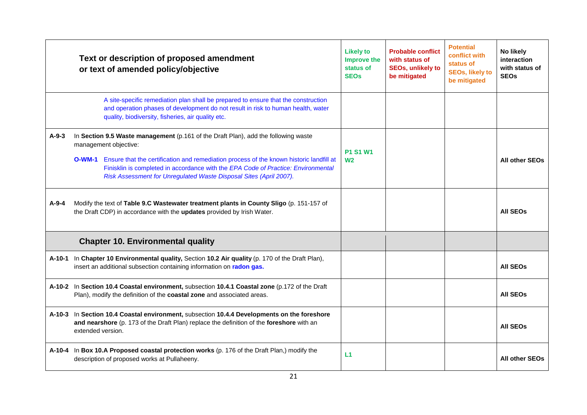|         | Text or description of proposed amendment<br>or text of amended policy/objective                                                                                                                                                                                                                                                                                                | <b>Likely to</b><br>Improve the<br>status of<br><b>SEOs</b> | <b>Probable conflict</b><br>with status of<br><b>SEOs, unlikely to</b><br>be mitigated | <b>Potential</b><br>conflict with<br>status of<br><b>SEOs, likely to</b><br>be mitigated | No likely<br>interaction<br>with status of<br><b>SEOs</b> |
|---------|---------------------------------------------------------------------------------------------------------------------------------------------------------------------------------------------------------------------------------------------------------------------------------------------------------------------------------------------------------------------------------|-------------------------------------------------------------|----------------------------------------------------------------------------------------|------------------------------------------------------------------------------------------|-----------------------------------------------------------|
|         | A site-specific remediation plan shall be prepared to ensure that the construction<br>and operation phases of development do not result in risk to human health, water<br>quality, biodiversity, fisheries, air quality etc.                                                                                                                                                    |                                                             |                                                                                        |                                                                                          |                                                           |
| $A-9-3$ | In Section 9.5 Waste management (p.161 of the Draft Plan), add the following waste<br>management objective:<br><b>O-WM-1</b> Ensure that the certification and remediation process of the known historic landfill at<br>Finisklin is completed in accordance with the EPA Code of Practice: Environmental<br>Risk Assessment for Unregulated Waste Disposal Sites (April 2007). | <b>P1 S1 W1</b><br>W <sub>2</sub>                           |                                                                                        |                                                                                          | All other SEOs                                            |
| $A-9-4$ | Modify the text of Table 9.C Wastewater treatment plants in County Sligo (p. 151-157 of<br>the Draft CDP) in accordance with the updates provided by Irish Water.                                                                                                                                                                                                               |                                                             |                                                                                        |                                                                                          | <b>AII SEOS</b>                                           |
|         | <b>Chapter 10. Environmental quality</b>                                                                                                                                                                                                                                                                                                                                        |                                                             |                                                                                        |                                                                                          |                                                           |
| A-10-1  | In Chapter 10 Environmental quality, Section 10.2 Air quality (p. 170 of the Draft Plan),<br>insert an additional subsection containing information on radon gas.                                                                                                                                                                                                               |                                                             |                                                                                        |                                                                                          | <b>AII SEOS</b>                                           |
|         | A-10-2 In Section 10.4 Coastal environment, subsection 10.4.1 Coastal zone (p.172 of the Draft<br>Plan), modify the definition of the coastal zone and associated areas.                                                                                                                                                                                                        |                                                             |                                                                                        |                                                                                          | <b>AII SEOS</b>                                           |
|         | A-10-3 In Section 10.4 Coastal environment, subsection 10.4.4 Developments on the foreshore<br>and nearshore (p. 173 of the Draft Plan) replace the definition of the foreshore with an<br>extended version.                                                                                                                                                                    |                                                             |                                                                                        |                                                                                          | <b>AII SEOS</b>                                           |
|         | A-10-4 In Box 10.A Proposed coastal protection works (p. 176 of the Draft Plan,) modify the<br>description of proposed works at Pullaheeny.                                                                                                                                                                                                                                     | L1                                                          |                                                                                        |                                                                                          | <b>All other SEOs</b>                                     |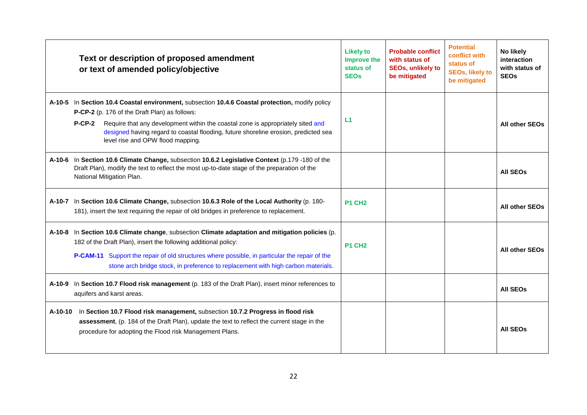|         | Text or description of proposed amendment<br>or text of amended policy/objective                                                                                                                                                                                                                                                                                             | <b>Likely to</b><br>Improve the<br>status of<br><b>SEOs</b> | <b>Probable conflict</b><br>with status of<br><b>SEOs, unlikely to</b><br>be mitigated | <b>Potential</b><br>conflict with<br>status of<br><b>SEOs, likely to</b><br>be mitigated | No likely<br>interaction<br>with status of<br><b>SEOs</b> |
|---------|------------------------------------------------------------------------------------------------------------------------------------------------------------------------------------------------------------------------------------------------------------------------------------------------------------------------------------------------------------------------------|-------------------------------------------------------------|----------------------------------------------------------------------------------------|------------------------------------------------------------------------------------------|-----------------------------------------------------------|
|         | A-10-5 In Section 10.4 Coastal environment, subsection 10.4.6 Coastal protection, modify policy<br>P-CP-2 (p. 176 of the Draft Plan) as follows:<br>Require that any development within the coastal zone is appropriately sited and<br>$P$ -CP-2<br>designed having regard to coastal flooding, future shoreline erosion, predicted sea<br>level rise and OPW flood mapping. | L1                                                          |                                                                                        |                                                                                          | All other SEOs                                            |
|         | A-10-6 In Section 10.6 Climate Change, subsection 10.6.2 Legislative Context (p.179 -180 of the<br>Draft Plan), modify the text to reflect the most up-to-date stage of the preparation of the<br>National Mitigation Plan.                                                                                                                                                  |                                                             |                                                                                        |                                                                                          | <b>AII SEOS</b>                                           |
| A-10-7  | In Section 10.6 Climate Change, subsection 10.6.3 Role of the Local Authority (p. 180-<br>181), insert the text requiring the repair of old bridges in preference to replacement.                                                                                                                                                                                            | <b>P1 CH2</b>                                               |                                                                                        |                                                                                          | All other SEOs                                            |
|         | A-10-8 In Section 10.6 Climate change, subsection Climate adaptation and mitigation policies (p.<br>182 of the Draft Plan), insert the following additional policy:<br>P-CAM-11 Support the repair of old structures where possible, in particular the repair of the<br>stone arch bridge stock, in preference to replacement with high carbon materials.                    | <b>P1 CH2</b>                                               |                                                                                        |                                                                                          | All other SEOs                                            |
| A-10-9  | In Section 10.7 Flood risk management (p. 183 of the Draft Plan), insert minor references to<br>aquifers and karst areas.                                                                                                                                                                                                                                                    |                                                             |                                                                                        |                                                                                          | <b>AII SEOS</b>                                           |
| A-10-10 | In Section 10.7 Flood risk management, subsection 10.7.2 Progress in flood risk<br>assessment, (p. 184 of the Draft Plan), update the text to reflect the current stage in the<br>procedure for adopting the Flood risk Management Plans.                                                                                                                                    |                                                             |                                                                                        |                                                                                          | <b>AII SEOS</b>                                           |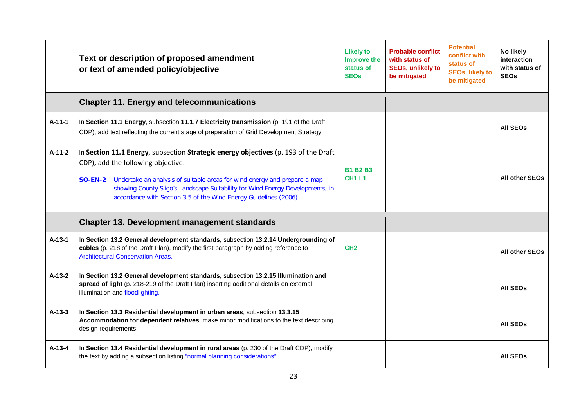|          | Text or description of proposed amendment<br>or text of amended policy/objective                                                                                                                                                                                                                                                                                               | <b>Likely to</b><br>Improve the<br>status of<br><b>SEOs</b> | <b>Probable conflict</b><br>with status of<br><b>SEOs, unlikely to</b><br>be mitigated | <b>Potential</b><br>conflict with<br>status of<br><b>SEOs, likely to</b><br>be mitigated | No likely<br>interaction<br>with status of<br><b>SEOs</b> |
|----------|--------------------------------------------------------------------------------------------------------------------------------------------------------------------------------------------------------------------------------------------------------------------------------------------------------------------------------------------------------------------------------|-------------------------------------------------------------|----------------------------------------------------------------------------------------|------------------------------------------------------------------------------------------|-----------------------------------------------------------|
|          | <b>Chapter 11. Energy and telecommunications</b>                                                                                                                                                                                                                                                                                                                               |                                                             |                                                                                        |                                                                                          |                                                           |
| $A-11-1$ | In Section 11.1 Energy, subsection 11.1.7 Electricity transmission (p. 191 of the Draft<br>CDP), add text reflecting the current stage of preparation of Grid Development Strategy.                                                                                                                                                                                            |                                                             |                                                                                        |                                                                                          | <b>All SEOs</b>                                           |
| $A-11-2$ | In Section 11.1 Energy, subsection Strategic energy objectives (p. 193 of the Draft<br>CDP), add the following objective:<br>Undertake an analysis of suitable areas for wind energy and prepare a map<br><b>SO-EN-2</b><br>showing County Sligo's Landscape Suitability for Wind Energy Developments, in<br>accordance with Section 3.5 of the Wind Energy Guidelines (2006). | <b>B1 B2 B3</b><br><b>CH1 L1</b>                            |                                                                                        |                                                                                          | <b>All other SEOs</b>                                     |
|          | <b>Chapter 13. Development management standards</b>                                                                                                                                                                                                                                                                                                                            |                                                             |                                                                                        |                                                                                          |                                                           |
| $A-13-1$ | In Section 13.2 General development standards, subsection 13.2.14 Undergrounding of<br>cables (p. 218 of the Draft Plan), modify the first paragraph by adding reference to<br><b>Architectural Conservation Areas.</b>                                                                                                                                                        | CH <sub>2</sub>                                             |                                                                                        |                                                                                          | All other SEOs                                            |
| $A-13-2$ | In Section 13.2 General development standards, subsection 13.2.15 Illumination and<br>spread of light (p. 218-219 of the Draft Plan) inserting additional details on external<br>illumination and floodlighting.                                                                                                                                                               |                                                             |                                                                                        |                                                                                          | <b>All SEOs</b>                                           |
| $A-13-3$ | In Section 13.3 Residential development in urban areas, subsection 13.3.15<br>Accommodation for dependent relatives, make minor modifications to the text describing<br>design requirements.                                                                                                                                                                                   |                                                             |                                                                                        |                                                                                          | <b>All SEOs</b>                                           |
| $A-13-4$ | In Section 13.4 Residential development in rural areas (p. 230 of the Draft CDP), modify<br>the text by adding a subsection listing "normal planning considerations".                                                                                                                                                                                                          |                                                             |                                                                                        |                                                                                          | <b>All SEOs</b>                                           |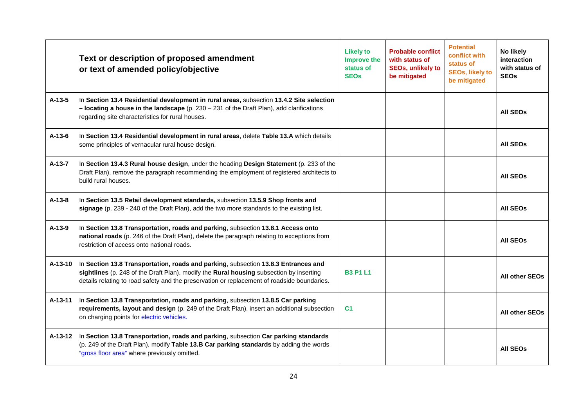|          | Text or description of proposed amendment<br>or text of amended policy/objective                                                                                                                                                                                             | <b>Likely to</b><br>Improve the<br>status of<br><b>SEOs</b> | <b>Probable conflict</b><br>with status of<br><b>SEOs, unlikely to</b><br>be mitigated | <b>Potential</b><br>conflict with<br>status of<br><b>SEOs, likely to</b><br>be mitigated | No likely<br>interaction<br>with status of<br><b>SEOs</b> |
|----------|------------------------------------------------------------------------------------------------------------------------------------------------------------------------------------------------------------------------------------------------------------------------------|-------------------------------------------------------------|----------------------------------------------------------------------------------------|------------------------------------------------------------------------------------------|-----------------------------------------------------------|
| $A-13-5$ | In Section 13.4 Residential development in rural areas, subsection 13.4.2 Site selection<br>$-$ locating a house in the landscape (p. 230 $-$ 231 of the Draft Plan), add clarifications<br>regarding site characteristics for rural houses.                                 |                                                             |                                                                                        |                                                                                          | <b>AII SEOS</b>                                           |
| $A-13-6$ | In Section 13.4 Residential development in rural areas, delete Table 13.A which details<br>some principles of vernacular rural house design.                                                                                                                                 |                                                             |                                                                                        |                                                                                          | <b>AII SEOS</b>                                           |
| A-13-7   | In Section 13.4.3 Rural house design, under the heading Design Statement (p. 233 of the<br>Draft Plan), remove the paragraph recommending the employment of registered architects to<br>build rural houses.                                                                  |                                                             |                                                                                        |                                                                                          | <b>AII SEOS</b>                                           |
| $A-13-8$ | In Section 13.5 Retail development standards, subsection 13.5.9 Shop fronts and<br>signage (p. 239 - 240 of the Draft Plan), add the two more standards to the existing list.                                                                                                |                                                             |                                                                                        |                                                                                          | <b>AII SEOS</b>                                           |
| A-13-9   | In Section 13.8 Transportation, roads and parking, subsection 13.8.1 Access onto<br>national roads (p. 246 of the Draft Plan), delete the paragraph relating to exceptions from<br>restriction of access onto national roads.                                                |                                                             |                                                                                        |                                                                                          | <b>AII SEOS</b>                                           |
| A-13-10  | In Section 13.8 Transportation, roads and parking, subsection 13.8.3 Entrances and<br>sightlines (p. 248 of the Draft Plan), modify the Rural housing subsection by inserting<br>details relating to road safety and the preservation or replacement of roadside boundaries. | <b>B3 P1 L1</b>                                             |                                                                                        |                                                                                          | All other SEOs                                            |
| A-13-11  | In Section 13.8 Transportation, roads and parking, subsection 13.8.5 Car parking<br>requirements, layout and design (p. 249 of the Draft Plan), insert an additional subsection<br>on charging points for electric vehicles.                                                 | C <sub>1</sub>                                              |                                                                                        |                                                                                          | <b>All other SEOs</b>                                     |
|          | A-13-12 In Section 13.8 Transportation, roads and parking, subsection Car parking standards<br>(p. 249 of the Draft Plan), modify Table 13.B Car parking standards by adding the words<br>"gross floor area" where previously omitted.                                       |                                                             |                                                                                        |                                                                                          | <b>AII SEOS</b>                                           |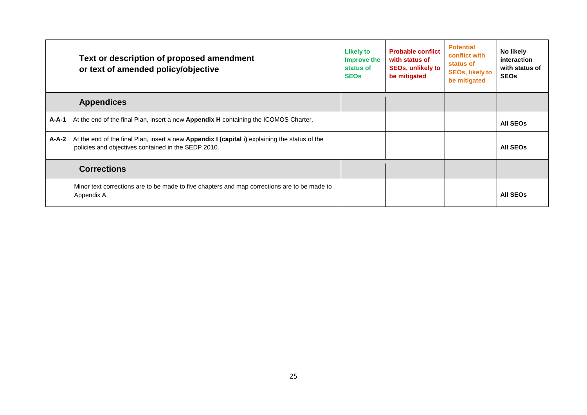|              | Text or description of proposed amendment<br>or text of amended policy/objective                                                                      | <b>Likely to</b><br><b>Improve the</b><br>status of<br><b>SEO<sub>s</sub></b> | <b>Probable conflict</b><br>with status of<br><b>SEOs, unlikely to</b><br>be mitigated | <b>Potential</b><br>conflict with<br>status of<br><b>SEOs, likely to</b><br>be mitigated | No likely<br>interaction<br>with status of<br><b>SEOs</b> |
|--------------|-------------------------------------------------------------------------------------------------------------------------------------------------------|-------------------------------------------------------------------------------|----------------------------------------------------------------------------------------|------------------------------------------------------------------------------------------|-----------------------------------------------------------|
|              | <b>Appendices</b>                                                                                                                                     |                                                                               |                                                                                        |                                                                                          |                                                           |
| <b>A-A-1</b> | At the end of the final Plan, insert a new Appendix H containing the ICOMOS Charter.                                                                  |                                                                               |                                                                                        |                                                                                          | <b>AII SEOS</b>                                           |
| A-A-2        | At the end of the final Plan, insert a new Appendix I (capital i) explaining the status of the<br>policies and objectives contained in the SEDP 2010. |                                                                               |                                                                                        |                                                                                          | <b>AII SEOS</b>                                           |
|              | <b>Corrections</b>                                                                                                                                    |                                                                               |                                                                                        |                                                                                          |                                                           |
|              | Minor text corrections are to be made to five chapters and map corrections are to be made to<br>Appendix A.                                           |                                                                               |                                                                                        |                                                                                          | <b>AII SEOS</b>                                           |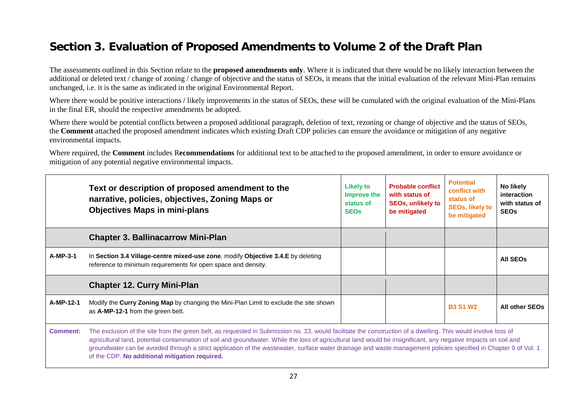### **Section 3. Evaluation of Proposed Amendments to Volume 2 of the Draft Plan**

The assessments outlined in this Section relate to the **proposed amendments only**. Where it is indicated that there would be no likely interaction between the additional or deleted text / change of zoning / change of objective and the status of SEOs, it means that the initial evaluation of the relevant Mini-Plan remains unchanged, i.e. it is the same as indicated in the original Environmental Report.

Where there would be positive interactions / likely improvements in the status of SEOs, these will be cumulated with the original evaluation of the Mini-Plans in the final ER, should the respective amendments be adopted.

Where there would be potential conflicts between a proposed additional paragraph, deletion of text, rezoning or change of objective and the status of SEOs, the **Comment** attached the proposed amendment indicates which existing Draft CDP policies can ensure the avoidance or mitigation of any negative environmental impacts.

Where required, the **Comment** includes R**ecommendations** for additional text to be attached to the proposed amendment, in order to ensure avoidance or mitigation of any potential negative environmental impacts.

|                 | Text or description of proposed amendment to the<br>narrative, policies, objectives, Zoning Maps or<br><b>Objectives Maps in mini-plans</b>                                                                                                                                                                                                                                                                                                                                                                                                             | <b>Likely to</b><br><b>Improve the</b><br>status of<br><b>SEO<sub>s</sub></b> | <b>Probable conflict</b><br>with status of<br><b>SEOs, unlikely to</b><br>be mitigated | <b>Potential</b><br>conflict with<br>status of<br><b>SEOs, likely to</b><br>be mitigated | No likely<br><i>interaction</i><br>with status of<br><b>SEOs</b> |  |
|-----------------|---------------------------------------------------------------------------------------------------------------------------------------------------------------------------------------------------------------------------------------------------------------------------------------------------------------------------------------------------------------------------------------------------------------------------------------------------------------------------------------------------------------------------------------------------------|-------------------------------------------------------------------------------|----------------------------------------------------------------------------------------|------------------------------------------------------------------------------------------|------------------------------------------------------------------|--|
|                 | <b>Chapter 3. Ballinacarrow Mini-Plan</b>                                                                                                                                                                                                                                                                                                                                                                                                                                                                                                               |                                                                               |                                                                                        |                                                                                          |                                                                  |  |
| $A-MP-3-1$      | In Section 3.4 Village-centre mixed-use zone, modify Objective 3.4. E by deleting<br>reference to minimum requirements for open space and density.                                                                                                                                                                                                                                                                                                                                                                                                      |                                                                               |                                                                                        |                                                                                          | <b>AII SEOS</b>                                                  |  |
|                 | <b>Chapter 12. Curry Mini-Plan</b>                                                                                                                                                                                                                                                                                                                                                                                                                                                                                                                      |                                                                               |                                                                                        |                                                                                          |                                                                  |  |
| A-MP-12-1       | Modify the Curry Zoning Map by changing the Mini-Plan Limit to exclude the site shown<br>as A-MP-12-1 from the green belt.                                                                                                                                                                                                                                                                                                                                                                                                                              |                                                                               |                                                                                        | <b>B3 S1 W2</b>                                                                          | All other SEOs                                                   |  |
| <b>Comment:</b> | The exclusion of the site from the green belt, as requested in Submission no. 33, would facilitate the construction of a dwelling. This would involve loss of<br>agricultural land, potential contamination of soil and groundwater. While the loss of agricultural land would be insignificant, any negative impacts on soil and<br>groundwater can be avoided through a strict application of the wastewater, surface water drainage and waste management policies specified in Chapter 9 of Vol. 1<br>of the CDP. No additional mitigation required. |                                                                               |                                                                                        |                                                                                          |                                                                  |  |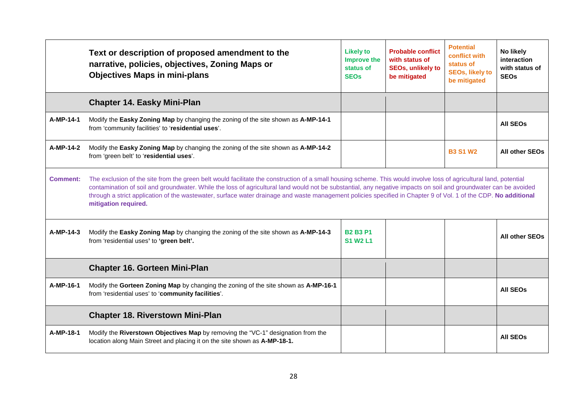|                 | Text or description of proposed amendment to the<br>narrative, policies, objectives, Zoning Maps or<br><b>Objectives Maps in mini-plans</b>                                                                                                                                                                                                                                                                                                                                                                                       | <b>Likely to</b><br>Improve the<br>status of<br><b>SEOs</b> | <b>Probable conflict</b><br>with status of<br><b>SEOs, unlikely to</b><br>be mitigated | <b>Potential</b><br>conflict with<br>status of<br><b>SEOs, likely to</b><br>be mitigated | No likely<br>interaction<br>with status of<br><b>SEOs</b> |  |  |  |
|-----------------|-----------------------------------------------------------------------------------------------------------------------------------------------------------------------------------------------------------------------------------------------------------------------------------------------------------------------------------------------------------------------------------------------------------------------------------------------------------------------------------------------------------------------------------|-------------------------------------------------------------|----------------------------------------------------------------------------------------|------------------------------------------------------------------------------------------|-----------------------------------------------------------|--|--|--|
|                 | <b>Chapter 14. Easky Mini-Plan</b>                                                                                                                                                                                                                                                                                                                                                                                                                                                                                                |                                                             |                                                                                        |                                                                                          |                                                           |  |  |  |
| A-MP-14-1       | Modify the Easky Zoning Map by changing the zoning of the site shown as A-MP-14-1<br>from 'community facilities' to 'residential uses'.                                                                                                                                                                                                                                                                                                                                                                                           |                                                             |                                                                                        |                                                                                          | <b>AII SEOS</b>                                           |  |  |  |
| A-MP-14-2       | Modify the Easky Zoning Map by changing the zoning of the site shown as A-MP-14-2<br>from 'green belt' to 'residential uses'.                                                                                                                                                                                                                                                                                                                                                                                                     |                                                             |                                                                                        | <b>B3 S1 W2</b>                                                                          | <b>All other SEOs</b>                                     |  |  |  |
| <b>Comment:</b> | The exclusion of the site from the green belt would facilitate the construction of a small housing scheme. This would involve loss of agricultural land, potential<br>contamination of soil and groundwater. While the loss of agricultural land would not be substantial, any negative impacts on soil and groundwater can be avoided<br>through a strict application of the wastewater, surface water drainage and waste management policies specified in Chapter 9 of Vol. 1 of the CDP. No additional<br>mitigation required. |                                                             |                                                                                        |                                                                                          |                                                           |  |  |  |
| A-MP-14-3       | Modify the Easky Zoning Map by changing the zoning of the site shown as A-MP-14-3<br>from 'residential uses' to 'green belt'.                                                                                                                                                                                                                                                                                                                                                                                                     | <b>B2 B3 P1</b><br><b>S1 W2 L1</b>                          |                                                                                        |                                                                                          | All other SEOs                                            |  |  |  |
|                 | <b>Chapter 16. Gorteen Mini-Plan</b>                                                                                                                                                                                                                                                                                                                                                                                                                                                                                              |                                                             |                                                                                        |                                                                                          |                                                           |  |  |  |
| A-MP-16-1       | Modify the Gorteen Zoning Map by changing the zoning of the site shown as A-MP-16-1<br>from 'residential uses' to 'community facilities'.                                                                                                                                                                                                                                                                                                                                                                                         |                                                             |                                                                                        |                                                                                          | <b>AII SEOS</b>                                           |  |  |  |
|                 | <b>Chapter 18. Riverstown Mini-Plan</b>                                                                                                                                                                                                                                                                                                                                                                                                                                                                                           |                                                             |                                                                                        |                                                                                          |                                                           |  |  |  |
| A-MP-18-1       | Modify the Riverstown Objectives Map by removing the "VC-1" designation from the<br>location along Main Street and placing it on the site shown as A-MP-18-1.                                                                                                                                                                                                                                                                                                                                                                     |                                                             |                                                                                        |                                                                                          | <b>AII SEOS</b>                                           |  |  |  |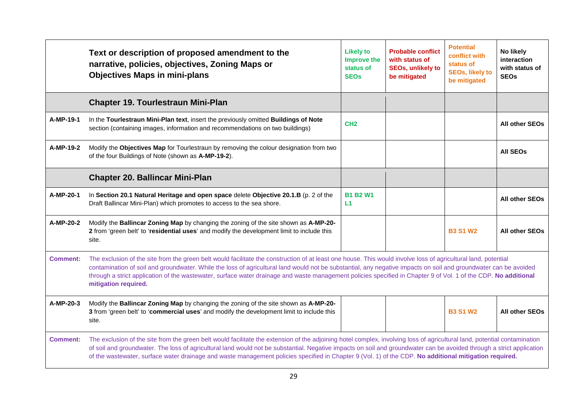|                 | Text or description of proposed amendment to the<br>narrative, policies, objectives, Zoning Maps or<br><b>Objectives Maps in mini-plans</b>                                                                                                                                                                                                                                                                                                                                                                                   | <b>Likely to</b><br>Improve the<br>status of<br><b>SEO<sub>s</sub></b> | <b>Probable conflict</b><br>with status of<br><b>SEOs, unlikely to</b><br>be mitigated | <b>Potential</b><br>conflict with<br>status of<br><b>SEOs, likely to</b><br>be mitigated | No likely<br>interaction<br>with status of<br><b>SEOs</b> |  |  |
|-----------------|-------------------------------------------------------------------------------------------------------------------------------------------------------------------------------------------------------------------------------------------------------------------------------------------------------------------------------------------------------------------------------------------------------------------------------------------------------------------------------------------------------------------------------|------------------------------------------------------------------------|----------------------------------------------------------------------------------------|------------------------------------------------------------------------------------------|-----------------------------------------------------------|--|--|
|                 | <b>Chapter 19. Tourlestraun Mini-Plan</b>                                                                                                                                                                                                                                                                                                                                                                                                                                                                                     |                                                                        |                                                                                        |                                                                                          |                                                           |  |  |
| A-MP-19-1       | In the Tourlestraun Mini-Plan text, insert the previously omitted Buildings of Note<br>section (containing images, information and recommendations on two buildings)                                                                                                                                                                                                                                                                                                                                                          | CH <sub>2</sub>                                                        |                                                                                        |                                                                                          | <b>All other SEOs</b>                                     |  |  |
| A-MP-19-2       | Modify the Objectives Map for Tourlestraun by removing the colour designation from two<br>of the four Buildings of Note (shown as A-MP-19-2).                                                                                                                                                                                                                                                                                                                                                                                 |                                                                        |                                                                                        |                                                                                          | <b>AII SEOS</b>                                           |  |  |
|                 | <b>Chapter 20. Ballincar Mini-Plan</b>                                                                                                                                                                                                                                                                                                                                                                                                                                                                                        |                                                                        |                                                                                        |                                                                                          |                                                           |  |  |
| A-MP-20-1       | In Section 20.1 Natural Heritage and open space delete Objective 20.1.B (p. 2 of the<br>Draft Ballincar Mini-Plan) which promotes to access to the sea shore.                                                                                                                                                                                                                                                                                                                                                                 | <b>B1 B2 W1</b><br>L1                                                  |                                                                                        |                                                                                          | <b>All other SEOs</b>                                     |  |  |
| A-MP-20-2       | Modify the Ballincar Zoning Map by changing the zoning of the site shown as A-MP-20-<br>2 from 'green belt' to 'residential uses' and modify the development limit to include this<br>site.                                                                                                                                                                                                                                                                                                                                   |                                                                        |                                                                                        | <b>B3 S1 W2</b>                                                                          | <b>All other SEOs</b>                                     |  |  |
| <b>Comment:</b> | The exclusion of the site from the green belt would facilitate the construction of at least one house. This would involve loss of agricultural land, potential<br>contamination of soil and groundwater. While the loss of agricultural land would not be substantial, any negative impacts on soil and groundwater can be avoided<br>through a strict application of the wastewater, surface water drainage and waste management policies specified in Chapter 9 of Vol. 1 of the CDP. No additional<br>mitigation required. |                                                                        |                                                                                        |                                                                                          |                                                           |  |  |
| A-MP-20-3       | Modify the Ballincar Zoning Map by changing the zoning of the site shown as A-MP-20-<br>3 from 'green belt' to 'commercial uses' and modify the development limit to include this<br>site.                                                                                                                                                                                                                                                                                                                                    |                                                                        |                                                                                        | <b>B3 S1 W2</b>                                                                          | All other SEOs                                            |  |  |
| <b>Comment:</b> | The exclusion of the site from the green belt would facilitate the extension of the adjoining hotel complex, involving loss of agricultural land, potential contamination<br>of soil and groundwater. The loss of agricultural land would not be substantial. Negative impacts on soil and groundwater can be avoided through a strict application<br>of the wastewater, surface water drainage and waste management policies specified in Chapter 9 (Vol. 1) of the CDP. No additional mitigation required.                  |                                                                        |                                                                                        |                                                                                          |                                                           |  |  |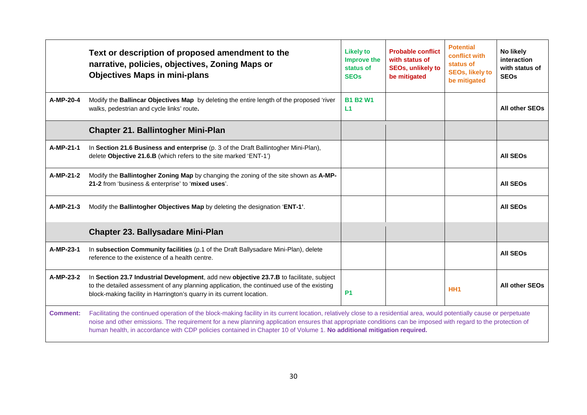|                 | Text or description of proposed amendment to the<br>narrative, policies, objectives, Zoning Maps or<br><b>Objectives Maps in mini-plans</b>                                                                                                                                                                                                                                                                                                                        | <b>Likely to</b><br><b>Improve the</b><br>status of<br><b>SEOs</b> | <b>Probable conflict</b><br>with status of<br><b>SEOs, unlikely to</b><br>be mitigated | <b>Potential</b><br>conflict with<br>status of<br><b>SEOs, likely to</b><br>be mitigated | No likely<br>interaction<br>with status of<br><b>SEOs</b> |  |
|-----------------|--------------------------------------------------------------------------------------------------------------------------------------------------------------------------------------------------------------------------------------------------------------------------------------------------------------------------------------------------------------------------------------------------------------------------------------------------------------------|--------------------------------------------------------------------|----------------------------------------------------------------------------------------|------------------------------------------------------------------------------------------|-----------------------------------------------------------|--|
| A-MP-20-4       | Modify the <b>Ballincar Objectives Map</b> by deleting the entire length of the proposed 'river<br>walks, pedestrian and cycle links' route.                                                                                                                                                                                                                                                                                                                       | <b>B1 B2 W1</b><br>L1                                              |                                                                                        |                                                                                          | <b>All other SEOs</b>                                     |  |
|                 | <b>Chapter 21. Ballintogher Mini-Plan</b>                                                                                                                                                                                                                                                                                                                                                                                                                          |                                                                    |                                                                                        |                                                                                          |                                                           |  |
| A-MP-21-1       | In Section 21.6 Business and enterprise (p. 3 of the Draft Ballintogher Mini-Plan),<br>delete Objective 21.6.B (which refers to the site marked 'ENT-1')                                                                                                                                                                                                                                                                                                           |                                                                    |                                                                                        |                                                                                          | <b>All SEOs</b>                                           |  |
| A-MP-21-2       | Modify the Ballintogher Zoning Map by changing the zoning of the site shown as A-MP-<br>21-2 from 'business & enterprise' to 'mixed uses'.                                                                                                                                                                                                                                                                                                                         |                                                                    |                                                                                        |                                                                                          | <b>AII SEOS</b>                                           |  |
| A-MP-21-3       | Modify the Ballintogher Objectives Map by deleting the designation 'ENT-1'.                                                                                                                                                                                                                                                                                                                                                                                        |                                                                    |                                                                                        |                                                                                          | <b>All SEOs</b>                                           |  |
|                 | <b>Chapter 23. Ballysadare Mini-Plan</b>                                                                                                                                                                                                                                                                                                                                                                                                                           |                                                                    |                                                                                        |                                                                                          |                                                           |  |
| A-MP-23-1       | In subsection Community facilities (p.1 of the Draft Ballysadare Mini-Plan), delete<br>reference to the existence of a health centre.                                                                                                                                                                                                                                                                                                                              |                                                                    |                                                                                        |                                                                                          | <b>All SEOs</b>                                           |  |
| A-MP-23-2       | In Section 23.7 Industrial Development, add new objective 23.7.B to facilitate, subject<br>to the detailed assessment of any planning application, the continued use of the existing<br>block-making facility in Harrington's quarry in its current location.                                                                                                                                                                                                      | <b>P1</b>                                                          |                                                                                        | HH <sub>1</sub>                                                                          | <b>All other SEOs</b>                                     |  |
| <b>Comment:</b> | Facilitating the continued operation of the block-making facility in its current location, relatively close to a residential area, would potentially cause or perpetuate<br>noise and other emissions. The requirement for a new planning application ensures that appropriate conditions can be imposed with regard to the protection of<br>human health, in accordance with CDP policies contained in Chapter 10 of Volume 1. No additional mitigation required. |                                                                    |                                                                                        |                                                                                          |                                                           |  |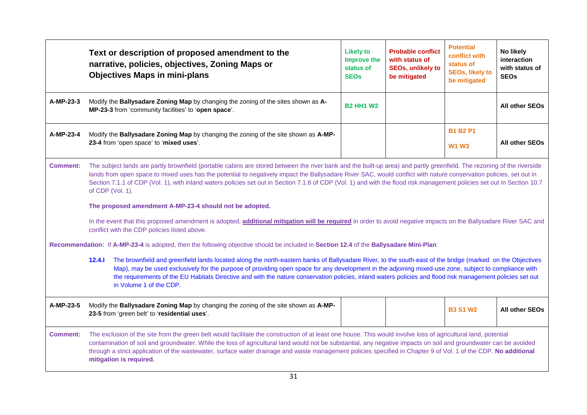|                 | Text or description of proposed amendment to the<br>narrative, policies, objectives, Zoning Maps or<br><b>Objectives Maps in mini-plans</b>                                                                                                                                                                                                                                                                                                                                                                                                                                                                                                                                                                                                                                | <b>Likely to</b><br>Improve the<br>status of<br><b>SEOs</b> | <b>Probable conflict</b><br>with status of<br><b>SEOs, unlikely to</b><br>be mitigated | <b>Potential</b><br>conflict with<br>status of<br><b>SEOs, likely to</b><br>be mitigated | No likely<br>interaction<br>with status of<br><b>SEOs</b> |  |  |  |
|-----------------|----------------------------------------------------------------------------------------------------------------------------------------------------------------------------------------------------------------------------------------------------------------------------------------------------------------------------------------------------------------------------------------------------------------------------------------------------------------------------------------------------------------------------------------------------------------------------------------------------------------------------------------------------------------------------------------------------------------------------------------------------------------------------|-------------------------------------------------------------|----------------------------------------------------------------------------------------|------------------------------------------------------------------------------------------|-----------------------------------------------------------|--|--|--|
| A-MP-23-3       | Modify the Ballysadare Zoning Map by changing the zoning of the sites shown as A-<br>MP-23-3 from 'community facilities' to 'open space'.                                                                                                                                                                                                                                                                                                                                                                                                                                                                                                                                                                                                                                  | <b>B2 HH1 W2</b>                                            |                                                                                        |                                                                                          | <b>All other SEOs</b>                                     |  |  |  |
| A-MP-23-4       | Modify the Ballysadare Zoning Map by changing the zoning of the site shown as A-MP-<br>23-4 from 'open space' to 'mixed uses'.                                                                                                                                                                                                                                                                                                                                                                                                                                                                                                                                                                                                                                             |                                                             |                                                                                        | <b>B1 B2 P1</b><br><b>W1 W3</b>                                                          | <b>All other SEOs</b>                                     |  |  |  |
| <b>Comment:</b> | The subject lands are partly brownfield (portable cabins are stored between the river bank and the built-up area) and partly greenfield. The rezoning of the riverside<br>lands from open space to mixed uses has the potential to negatively impact the Ballysadare River SAC, would conflict with nature conservation policies, set out in<br>Section 7.1.1 of CDP (Vol. 1), with inland waters policies set out in Section 7.1.6 of CDP (Vol. 1) and with the flood risk management policies set out in Section 10.7<br>of CDP (Vol. 1).<br>The proposed amendment A-MP-23-4 should not be adopted.<br>In the event that this proposed amendment is adopted, additional mitigation will be required in order to avoid negative impacts on the Ballysadare River SAC and |                                                             |                                                                                        |                                                                                          |                                                           |  |  |  |
|                 | conflict with the CDP policies listed above.<br>Recommendation: If A-MP-23-4 is adopted, then the following objective should be included in Section 12.4 of the Ballysadare Mini-Plan:<br>12.4.1<br>The brownfield and greenfield lands located along the north-eastern banks of Ballysadare River, to the south-east of the bridge (marked on the Objectives<br>Map), may be used exclusively for the purpose of providing open space for any development in the adjoining mixed-use zone, subject to compliance with<br>the requirements of the EU Habitats Directive and with the nature conservation policies, inland waters policies and flood risk management policies set out<br>in Volume 1 of the CDP.                                                            |                                                             |                                                                                        |                                                                                          |                                                           |  |  |  |
| A-MP-23-5       | Modify the Ballysadare Zoning Map by changing the zoning of the site shown as A-MP-<br>23-5 from 'green belt' to 'residential uses'.                                                                                                                                                                                                                                                                                                                                                                                                                                                                                                                                                                                                                                       |                                                             |                                                                                        | <b>B3 S1 W2</b>                                                                          | <b>All other SEOs</b>                                     |  |  |  |
| <b>Comment:</b> | The exclusion of the site from the green belt would facilitate the construction of at least one house. This would involve loss of agricultural land, potential<br>contamination of soil and groundwater. While the loss of agricultural land would not be substantial, any negative impacts on soil and groundwater can be avoided<br>through a strict application of the wastewater, surface water drainage and waste management policies specified in Chapter 9 of Vol. 1 of the CDP. No additional<br>mitigation is required.                                                                                                                                                                                                                                           |                                                             |                                                                                        |                                                                                          |                                                           |  |  |  |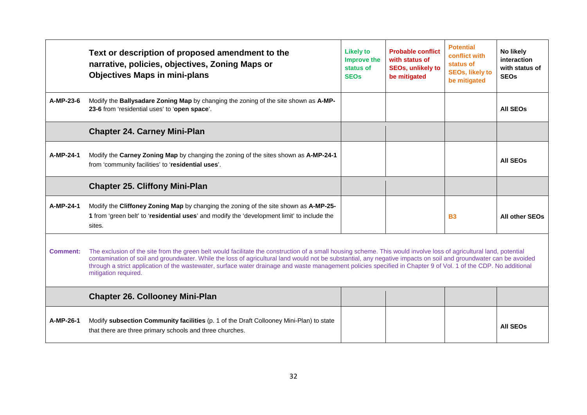|                 | Text or description of proposed amendment to the<br>narrative, policies, objectives, Zoning Maps or<br><b>Objectives Maps in mini-plans</b>                                                                                                                                                                                                                                                                                                                                                                                       | <b>Likely to</b><br>Improve the<br>status of<br><b>SEO<sub>s</sub></b> | <b>Probable conflict</b><br>with status of<br><b>SEOs, unlikely to</b><br>be mitigated | <b>Potential</b><br>conflict with<br>status of<br><b>SEOs, likely to</b><br>be mitigated | No likely<br>interaction<br>with status of<br><b>SEOs</b> |  |  |
|-----------------|-----------------------------------------------------------------------------------------------------------------------------------------------------------------------------------------------------------------------------------------------------------------------------------------------------------------------------------------------------------------------------------------------------------------------------------------------------------------------------------------------------------------------------------|------------------------------------------------------------------------|----------------------------------------------------------------------------------------|------------------------------------------------------------------------------------------|-----------------------------------------------------------|--|--|
| A-MP-23-6       | Modify the Ballysadare Zoning Map by changing the zoning of the site shown as A-MP-<br>23-6 from 'residential uses' to 'open space'.                                                                                                                                                                                                                                                                                                                                                                                              |                                                                        |                                                                                        |                                                                                          | <b>AII SEOS</b>                                           |  |  |
|                 | <b>Chapter 24. Carney Mini-Plan</b>                                                                                                                                                                                                                                                                                                                                                                                                                                                                                               |                                                                        |                                                                                        |                                                                                          |                                                           |  |  |
| A-MP-24-1       | Modify the Carney Zoning Map by changing the zoning of the sites shown as A-MP-24-1<br>from 'community facilities' to 'residential uses'.                                                                                                                                                                                                                                                                                                                                                                                         |                                                                        |                                                                                        |                                                                                          | <b>AII SEOS</b>                                           |  |  |
|                 | <b>Chapter 25. Cliffony Mini-Plan</b>                                                                                                                                                                                                                                                                                                                                                                                                                                                                                             |                                                                        |                                                                                        |                                                                                          |                                                           |  |  |
| A-MP-24-1       | Modify the Cliffoney Zoning Map by changing the zoning of the site shown as A-MP-25-<br>1 from 'green belt' to 'residential uses' and modify the 'development limit' to include the<br>sites.                                                                                                                                                                                                                                                                                                                                     |                                                                        |                                                                                        | <b>B3</b>                                                                                | <b>All other SEOs</b>                                     |  |  |
| <b>Comment:</b> | The exclusion of the site from the green belt would facilitate the construction of a small housing scheme. This would involve loss of agricultural land, potential<br>contamination of soil and groundwater. While the loss of agricultural land would not be substantial, any negative impacts on soil and groundwater can be avoided<br>through a strict application of the wastewater, surface water drainage and waste management policies specified in Chapter 9 of Vol. 1 of the CDP. No additional<br>mitigation required. |                                                                        |                                                                                        |                                                                                          |                                                           |  |  |
|                 | <b>Chapter 26. Collooney Mini-Plan</b>                                                                                                                                                                                                                                                                                                                                                                                                                                                                                            |                                                                        |                                                                                        |                                                                                          |                                                           |  |  |
| A-MP-26-1       | Modify subsection Community facilities (p. 1 of the Draft Collooney Mini-Plan) to state<br>that there are three primary schools and three churches.                                                                                                                                                                                                                                                                                                                                                                               |                                                                        |                                                                                        |                                                                                          | <b>AII SEOS</b>                                           |  |  |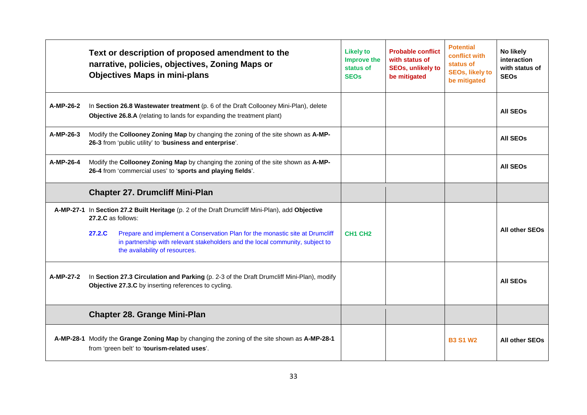|           | Text or description of proposed amendment to the<br>narrative, policies, objectives, Zoning Maps or<br><b>Objectives Maps in mini-plans</b>                                                                                                                                                                                        | <b>Likely to</b><br><b>Improve the</b><br>status of<br><b>SEO<sub>s</sub></b> | <b>Probable conflict</b><br>with status of<br><b>SEOs, unlikely to</b><br>be mitigated | <b>Potential</b><br>conflict with<br>status of<br><b>SEOs, likely to</b><br>be mitigated | No likely<br>interaction<br>with status of<br><b>SEOs</b> |
|-----------|------------------------------------------------------------------------------------------------------------------------------------------------------------------------------------------------------------------------------------------------------------------------------------------------------------------------------------|-------------------------------------------------------------------------------|----------------------------------------------------------------------------------------|------------------------------------------------------------------------------------------|-----------------------------------------------------------|
| A-MP-26-2 | In Section 26.8 Wastewater treatment (p. 6 of the Draft Collooney Mini-Plan), delete<br>Objective 26.8.A (relating to lands for expanding the treatment plant)                                                                                                                                                                     |                                                                               |                                                                                        |                                                                                          | <b>All SEOs</b>                                           |
| A-MP-26-3 | Modify the Collooney Zoning Map by changing the zoning of the site shown as A-MP-<br>26-3 from 'public utility' to 'business and enterprise'.                                                                                                                                                                                      |                                                                               |                                                                                        |                                                                                          | <b>AII SEOS</b>                                           |
| A-MP-26-4 | Modify the Collooney Zoning Map by changing the zoning of the site shown as A-MP-<br>26-4 from 'commercial uses' to 'sports and playing fields'.                                                                                                                                                                                   |                                                                               |                                                                                        |                                                                                          | <b>AII SEOS</b>                                           |
|           | <b>Chapter 27. Drumcliff Mini-Plan</b>                                                                                                                                                                                                                                                                                             |                                                                               |                                                                                        |                                                                                          |                                                           |
|           | A-MP-27-1 In Section 27.2 Built Heritage (p. 2 of the Draft Drumcliff Mini-Plan), add Objective<br>27.2.C as follows:<br>Prepare and implement a Conservation Plan for the monastic site at Drumcliff<br>27.2.C<br>in partnership with relevant stakeholders and the local community, subject to<br>the availability of resources. | CH <sub>1</sub> CH <sub>2</sub>                                               |                                                                                        |                                                                                          | <b>All other SEOs</b>                                     |
| A-MP-27-2 | In Section 27.3 Circulation and Parking (p. 2-3 of the Draft Drumcliff Mini-Plan), modify<br>Objective 27.3.C by inserting references to cycling.                                                                                                                                                                                  |                                                                               |                                                                                        |                                                                                          | <b>All SEOs</b>                                           |
|           | <b>Chapter 28. Grange Mini-Plan</b>                                                                                                                                                                                                                                                                                                |                                                                               |                                                                                        |                                                                                          |                                                           |
|           | A-MP-28-1 Modify the Grange Zoning Map by changing the zoning of the site shown as A-MP-28-1<br>from 'green belt' to 'tourism-related uses'.                                                                                                                                                                                       |                                                                               |                                                                                        | <b>B3 S1 W2</b>                                                                          | <b>All other SEOs</b>                                     |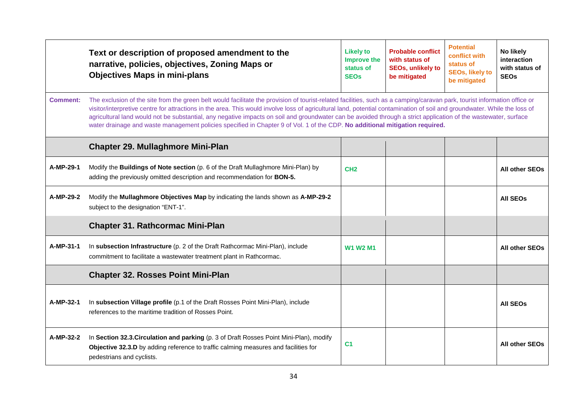|                 | Text or description of proposed amendment to the<br>narrative, policies, objectives, Zoning Maps or<br><b>Objectives Maps in mini-plans</b>                                                                                                                                                                                                                                                                                                                                                                                                                                                                                                               | <b>Likely to</b><br>Improve the<br>status of<br><b>SEO<sub>s</sub></b> | <b>Probable conflict</b><br>with status of<br><b>SEOs, unlikely to</b><br>be mitigated | <b>Potential</b><br>conflict with<br>status of<br><b>SEOs, likely to</b><br>be mitigated | No likely<br>interaction<br>with status of<br><b>SEOs</b> |  |  |  |
|-----------------|-----------------------------------------------------------------------------------------------------------------------------------------------------------------------------------------------------------------------------------------------------------------------------------------------------------------------------------------------------------------------------------------------------------------------------------------------------------------------------------------------------------------------------------------------------------------------------------------------------------------------------------------------------------|------------------------------------------------------------------------|----------------------------------------------------------------------------------------|------------------------------------------------------------------------------------------|-----------------------------------------------------------|--|--|--|
| <b>Comment:</b> | The exclusion of the site from the green belt would facilitate the provision of tourist-related facilities, such as a camping/caravan park, tourist information office or<br>visitor/interpretive centre for attractions in the area. This would involve loss of agricultural land, potential contamination of soil and groundwater. While the loss of<br>agricultural land would not be substantial, any negative impacts on soil and groundwater can be avoided through a strict application of the wastewater, surface<br>water drainage and waste management policies specified in Chapter 9 of Vol. 1 of the CDP. No additional mitigation required. |                                                                        |                                                                                        |                                                                                          |                                                           |  |  |  |
|                 | <b>Chapter 29. Mullaghmore Mini-Plan</b>                                                                                                                                                                                                                                                                                                                                                                                                                                                                                                                                                                                                                  |                                                                        |                                                                                        |                                                                                          |                                                           |  |  |  |
| A-MP-29-1       | Modify the Buildings of Note section (p. 6 of the Draft Mullaghmore Mini-Plan) by<br>adding the previously omitted description and recommendation for BON-5.                                                                                                                                                                                                                                                                                                                                                                                                                                                                                              | CH <sub>2</sub>                                                        |                                                                                        |                                                                                          | <b>All other SEOs</b>                                     |  |  |  |
| A-MP-29-2       | Modify the Mullaghmore Objectives Map by indicating the lands shown as A-MP-29-2<br>subject to the designation "ENT-1".                                                                                                                                                                                                                                                                                                                                                                                                                                                                                                                                   |                                                                        |                                                                                        |                                                                                          | <b>All SEOs</b>                                           |  |  |  |
|                 | <b>Chapter 31. Rathcormac Mini-Plan</b>                                                                                                                                                                                                                                                                                                                                                                                                                                                                                                                                                                                                                   |                                                                        |                                                                                        |                                                                                          |                                                           |  |  |  |
| A-MP-31-1       | In subsection Infrastructure (p. 2 of the Draft Rathcormac Mini-Plan), include<br>commitment to facilitate a wastewater treatment plant in Rathcormac.                                                                                                                                                                                                                                                                                                                                                                                                                                                                                                    | <b>W1 W2 M1</b>                                                        |                                                                                        |                                                                                          | <b>All other SEOs</b>                                     |  |  |  |
|                 | <b>Chapter 32. Rosses Point Mini-Plan</b>                                                                                                                                                                                                                                                                                                                                                                                                                                                                                                                                                                                                                 |                                                                        |                                                                                        |                                                                                          |                                                           |  |  |  |
| A-MP-32-1       | In subsection Village profile (p.1 of the Draft Rosses Point Mini-Plan), include<br>references to the maritime tradition of Rosses Point.                                                                                                                                                                                                                                                                                                                                                                                                                                                                                                                 |                                                                        |                                                                                        |                                                                                          | <b>AII SEOS</b>                                           |  |  |  |
| A-MP-32-2       | In Section 32.3. Circulation and parking (p. 3 of Draft Rosses Point Mini-Plan), modify<br>Objective 32.3.D by adding reference to traffic calming measures and facilities for<br>pedestrians and cyclists.                                                                                                                                                                                                                                                                                                                                                                                                                                               | C <sub>1</sub>                                                         |                                                                                        |                                                                                          | <b>All other SEOs</b>                                     |  |  |  |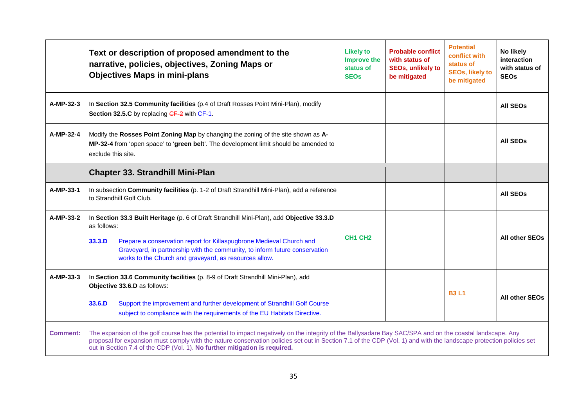|                 |                                                                                                                                                                                                  | Text or description of proposed amendment to the<br>narrative, policies, objectives, Zoning Maps or<br><b>Objectives Maps in mini-plans</b>                                                                                                                                                                                                                                                                   | <b>Likely to</b><br>Improve the<br>status of<br><b>SEOs</b> | <b>Probable conflict</b><br>with status of<br><b>SEOs, unlikely to</b><br>be mitigated | <b>Potential</b><br>conflict with<br>status of<br><b>SEOs, likely to</b><br>be mitigated | No likely<br>interaction<br>with status of<br><b>SEOs</b> |
|-----------------|--------------------------------------------------------------------------------------------------------------------------------------------------------------------------------------------------|---------------------------------------------------------------------------------------------------------------------------------------------------------------------------------------------------------------------------------------------------------------------------------------------------------------------------------------------------------------------------------------------------------------|-------------------------------------------------------------|----------------------------------------------------------------------------------------|------------------------------------------------------------------------------------------|-----------------------------------------------------------|
| A-MP-32-3       |                                                                                                                                                                                                  | In Section 32.5 Community facilities (p.4 of Draft Rosses Point Mini-Plan), modify<br>Section 32.5.C by replacing CF-2 with CF-1.                                                                                                                                                                                                                                                                             |                                                             |                                                                                        |                                                                                          | <b>AII SEOS</b>                                           |
| A-MP-32-4       | Modify the Rosses Point Zoning Map by changing the zoning of the site shown as A-<br>MP-32-4 from 'open space' to 'green belt'. The development limit should be amended to<br>exclude this site. |                                                                                                                                                                                                                                                                                                                                                                                                               |                                                             |                                                                                        |                                                                                          | <b>AII SEOS</b>                                           |
|                 |                                                                                                                                                                                                  | <b>Chapter 33. Strandhill Mini-Plan</b>                                                                                                                                                                                                                                                                                                                                                                       |                                                             |                                                                                        |                                                                                          |                                                           |
| A-MP-33-1       |                                                                                                                                                                                                  | In subsection Community facilities (p. 1-2 of Draft Strandhill Mini-Plan), add a reference<br>to Strandhill Golf Club.                                                                                                                                                                                                                                                                                        |                                                             |                                                                                        |                                                                                          | <b>AII SEOS</b>                                           |
| A-MP-33-2       | In Section 33.3 Built Heritage (p. 6 of Draft Strandhill Mini-Plan), add Objective 33.3.D<br>as follows:                                                                                         |                                                                                                                                                                                                                                                                                                                                                                                                               |                                                             |                                                                                        |                                                                                          |                                                           |
|                 | 33.3.D                                                                                                                                                                                           | Prepare a conservation report for Killaspugbrone Medieval Church and<br>Graveyard, in partnership with the community, to inform future conservation<br>works to the Church and graveyard, as resources allow.                                                                                                                                                                                                 | CH <sub>1</sub> CH <sub>2</sub>                             |                                                                                        |                                                                                          | All other SEOs                                            |
| A-MP-33-3       |                                                                                                                                                                                                  | In Section 33.6 Community facilities (p. 8-9 of Draft Strandhill Mini-Plan), add<br>Objective 33.6.D as follows:                                                                                                                                                                                                                                                                                              |                                                             |                                                                                        | <b>B3L1</b>                                                                              |                                                           |
|                 | 33.6.D                                                                                                                                                                                           | Support the improvement and further development of Strandhill Golf Course<br>subject to compliance with the requirements of the EU Habitats Directive.                                                                                                                                                                                                                                                        |                                                             |                                                                                        |                                                                                          | All other SEOs                                            |
| <b>Comment:</b> |                                                                                                                                                                                                  | The expansion of the golf course has the potential to impact negatively on the integrity of the Ballysadare Bay SAC/SPA and on the coastal landscape. Any<br>proposal for expansion must comply with the nature conservation policies set out in Section 7.1 of the CDP (Vol. 1) and with the landscape protection policies set<br>out in Section 7.4 of the CDP (Vol. 1). No further mitigation is required. |                                                             |                                                                                        |                                                                                          |                                                           |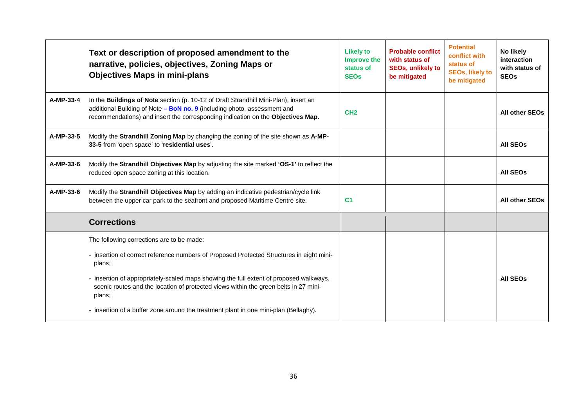|           | Text or description of proposed amendment to the<br>narrative, policies, objectives, Zoning Maps or<br><b>Objectives Maps in mini-plans</b>                                                                                                         | <b>Likely to</b><br>Improve the<br>status of<br><b>SEOs</b> | <b>Probable conflict</b><br>with status of<br><b>SEOs, unlikely to</b><br>be mitigated | <b>Potential</b><br>conflict with<br>status of<br><b>SEOs, likely to</b><br>be mitigated | No likely<br>interaction<br>with status of<br><b>SEOs</b> |
|-----------|-----------------------------------------------------------------------------------------------------------------------------------------------------------------------------------------------------------------------------------------------------|-------------------------------------------------------------|----------------------------------------------------------------------------------------|------------------------------------------------------------------------------------------|-----------------------------------------------------------|
| A-MP-33-4 | In the Buildings of Note section (p. 10-12 of Draft Strandhill Mini-Plan), insert an<br>additional Building of Note - BoN no. 9 (including photo, assessment and<br>recommendations) and insert the corresponding indication on the Objectives Map. | CH <sub>2</sub>                                             |                                                                                        |                                                                                          | All other SEOs                                            |
| A-MP-33-5 | Modify the Strandhill Zoning Map by changing the zoning of the site shown as A-MP-<br>33-5 from 'open space' to 'residential uses'.                                                                                                                 |                                                             |                                                                                        |                                                                                          | <b>AII SEOS</b>                                           |
| A-MP-33-6 | Modify the Strandhill Objectives Map by adjusting the site marked 'OS-1' to reflect the<br>reduced open space zoning at this location.                                                                                                              |                                                             |                                                                                        |                                                                                          | <b>AII SEOS</b>                                           |
| A-MP-33-6 | Modify the Strandhill Objectives Map by adding an indicative pedestrian/cycle link<br>between the upper car park to the seafront and proposed Maritime Centre site.                                                                                 | C <sub>1</sub>                                              |                                                                                        |                                                                                          | <b>All other SEOs</b>                                     |
|           | <b>Corrections</b>                                                                                                                                                                                                                                  |                                                             |                                                                                        |                                                                                          |                                                           |
|           | The following corrections are to be made:                                                                                                                                                                                                           |                                                             |                                                                                        |                                                                                          |                                                           |
|           | - insertion of correct reference numbers of Proposed Protected Structures in eight mini-<br>plans;                                                                                                                                                  |                                                             |                                                                                        |                                                                                          |                                                           |
|           | - insertion of appropriately-scaled maps showing the full extent of proposed walkways,<br>scenic routes and the location of protected views within the green belts in 27 mini-<br>plans;                                                            |                                                             |                                                                                        |                                                                                          | <b>AII SEOS</b>                                           |
|           | - insertion of a buffer zone around the treatment plant in one mini-plan (Bellaghy).                                                                                                                                                                |                                                             |                                                                                        |                                                                                          |                                                           |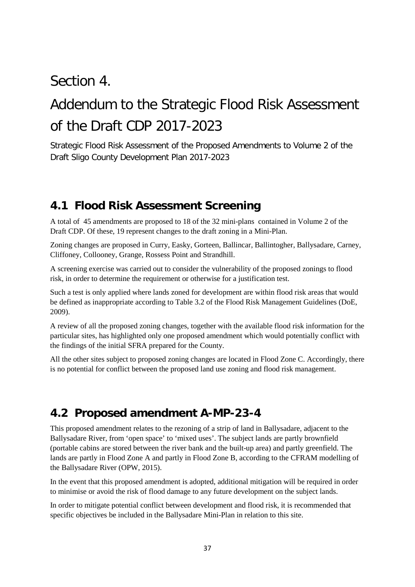# Section 4.

# Addendum to the Strategic Flood Risk Assessment of the Draft CDP 2017-2023

Strategic Flood Risk Assessment of the Proposed Amendments to Volume 2 of the Draft Sligo County Development Plan 2017-2023

### **4.1 Flood Risk Assessment Screening**

A total of 45 amendments are proposed to 18 of the 32 mini-plans contained in Volume 2 of the Draft CDP. Of these, 19 represent changes to the draft zoning in a Mini-Plan.

Zoning changes are proposed in Curry, Easky, Gorteen, Ballincar, Ballintogher, Ballysadare, Carney, Cliffoney, Collooney, Grange, Rossess Point and Strandhill.

A screening exercise was carried out to consider the vulnerability of the proposed zonings to flood risk, in order to determine the requirement or otherwise for a justification test.

Such a test is only applied where lands zoned for development are within flood risk areas that would be defined as inappropriate according to Table 3.2 of the Flood Risk Management Guidelines (DoE, 2009).

A review of all the proposed zoning changes, together with the available flood risk information for the particular sites, has highlighted only one proposed amendment which would potentially conflict with the findings of the initial SFRA prepared for the County.

All the other sites subject to proposed zoning changes are located in Flood Zone C. Accordingly, there is no potential for conflict between the proposed land use zoning and flood risk management.

### **4.2 Proposed amendment A-MP-23-4**

This proposed amendment relates to the rezoning of a strip of land in Ballysadare, adjacent to the Ballysadare River, from 'open space' to 'mixed uses'. The subject lands are partly brownfield (portable cabins are stored between the river bank and the built-up area) and partly greenfield. The lands are partly in Flood Zone A and partly in Flood Zone B, according to the CFRAM modelling of the Ballysadare River (OPW, 2015).

In the event that this proposed amendment is adopted, additional mitigation will be required in order to minimise or avoid the risk of flood damage to any future development on the subject lands.

In order to mitigate potential conflict between development and flood risk, it is recommended that specific objectives be included in the Ballysadare Mini-Plan in relation to this site.